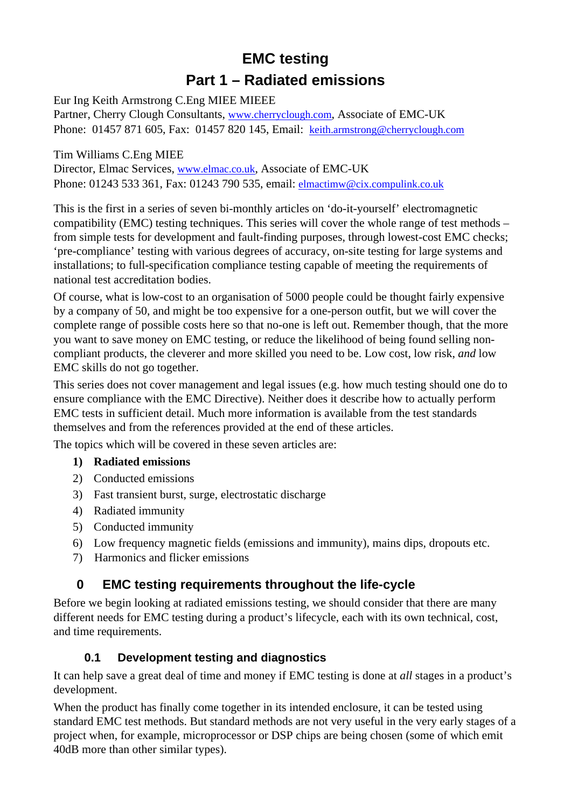# **EMC testing Part 1 – Radiated emissions**

Eur Ing Keith Armstrong C.Eng MIEE MIEEE

Partner, Cherry Clough Consultants, [www.cherryclough.com,](http://www.cherryclough.com/) Associate of EMC-UK Phone: 01457 871 605, Fax: 01457 820 145, Email: [keith.armstrong@cherryclough.com](mailto:keith.armstrong@cherryclough.com)

Tim Williams C.Eng MIEE Director, Elmac Services, [www.elmac.co.uk,](http://www.elmac.co.uk/) Associate of EMC-UK Phone: 01243 533 361, Fax: 01243 790 535, email: [elmactimw@cix.compulink.co.uk](mailto:elmactimw@cix.compulink.co.uk)

This is the first in a series of seven bi-monthly articles on 'do-it-yourself' electromagnetic compatibility (EMC) testing techniques. This series will cover the whole range of test methods – from simple tests for development and fault-finding purposes, through lowest-cost EMC checks; 'pre-compliance' testing with various degrees of accuracy, on-site testing for large systems and installations; to full-specification compliance testing capable of meeting the requirements of national test accreditation bodies.

Of course, what is low-cost to an organisation of 5000 people could be thought fairly expensive by a company of 50, and might be too expensive for a one-person outfit, but we will cover the complete range of possible costs here so that no-one is left out. Remember though, that the more you want to save money on EMC testing, or reduce the likelihood of being found selling noncompliant products, the cleverer and more skilled you need to be. Low cost, low risk, *and* low EMC skills do not go together.

This series does not cover management and legal issues (e.g. how much testing should one do to ensure compliance with the EMC Directive). Neither does it describe how to actually perform EMC tests in sufficient detail. Much more information is available from the test standards themselves and from the references provided at the end of these articles.

The topics which will be covered in these seven articles are:

#### **1) Radiated emissions**

- 2) Conducted emissions
- 3) Fast transient burst, surge, electrostatic discharge
- 4) Radiated immunity
- 5) Conducted immunity
- 6) Low frequency magnetic fields (emissions and immunity), mains dips, dropouts etc.
- 7) Harmonics and flicker emissions

# **0 EMC testing requirements throughout the life-cycle**

Before we begin looking at radiated emissions testing, we should consider that there are many different needs for EMC testing during a product's lifecycle, each with its own technical, cost, and time requirements.

#### **0.1 Development testing and diagnostics**

It can help save a great deal of time and money if EMC testing is done at *all* stages in a product's development.

When the product has finally come together in its intended enclosure, it can be tested using standard EMC test methods. But standard methods are not very useful in the very early stages of a project when, for example, microprocessor or DSP chips are being chosen (some of which emit 40dB more than other similar types).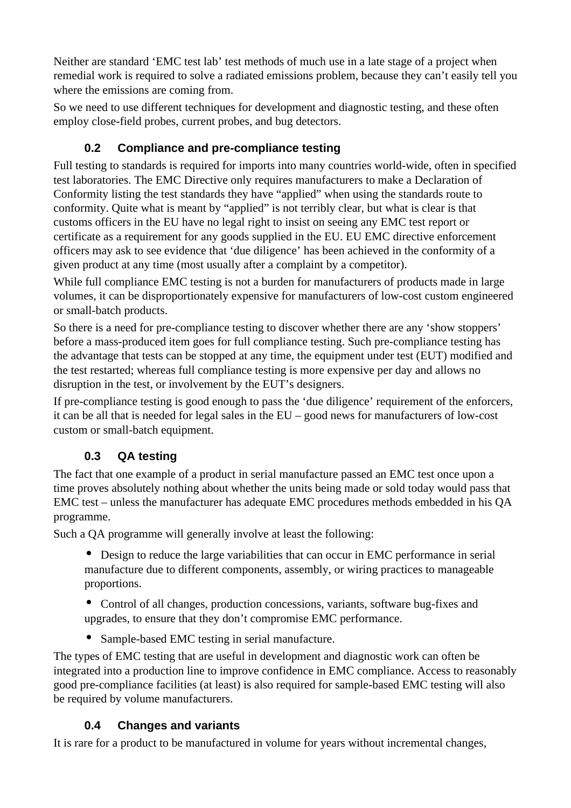Neither are standard 'EMC test lab' test methods of much use in a late stage of a project when remedial work is required to solve a radiated emissions problem, because they can't easily tell you where the emissions are coming from.

So we need to use different techniques for development and diagnostic testing, and these often employ close-field probes, current probes, and bug detectors.

# **0.2 Compliance and pre-compliance testing**

Full testing to standards is required for imports into many countries world-wide, often in specified test laboratories. The EMC Directive only requires manufacturers to make a Declaration of Conformity listing the test standards they have "applied" when using the standards route to conformity. Quite what is meant by "applied" is not terribly clear, but what is clear is that customs officers in the EU have no legal right to insist on seeing any EMC test report or certificate as a requirement for any goods supplied in the EU. EU EMC directive enforcement officers may ask to see evidence that 'due diligence' has been achieved in the conformity of a given product at any time (most usually after a complaint by a competitor).

While full compliance EMC testing is not a burden for manufacturers of products made in large volumes, it can be disproportionately expensive for manufacturers of low-cost custom engineered or small-batch products.

So there is a need for pre-compliance testing to discover whether there are any 'show stoppers' before a mass-produced item goes for full compliance testing. Such pre-compliance testing has the advantage that tests can be stopped at any time, the equipment under test (EUT) modified and the test restarted; whereas full compliance testing is more expensive per day and allows no disruption in the test, or involvement by the EUT's designers.

If pre-compliance testing is good enough to pass the 'due diligence' requirement of the enforcers, it can be all that is needed for legal sales in the EU – good news for manufacturers of low-cost custom or small-batch equipment.

## **0.3 QA testing**

The fact that one example of a product in serial manufacture passed an EMC test once upon a time proves absolutely nothing about whether the units being made or sold today would pass that EMC test – unless the manufacturer has adequate EMC procedures methods embedded in his QA programme.

Such a QA programme will generally involve at least the following:

• Design to reduce the large variabilities that can occur in EMC performance in serial manufacture due to different components, assembly, or wiring practices to manageable proportions.

• Control of all changes, production concessions, variants, software bug-fixes and upgrades, to ensure that they don't compromise EMC performance.

• Sample-based EMC testing in serial manufacture.

The types of EMC testing that are useful in development and diagnostic work can often be integrated into a production line to improve confidence in EMC compliance. Access to reasonably good pre-compliance facilities (at least) is also required for sample-based EMC testing will also be required by volume manufacturers.

## **0.4 Changes and variants**

It is rare for a product to be manufactured in volume for years without incremental changes,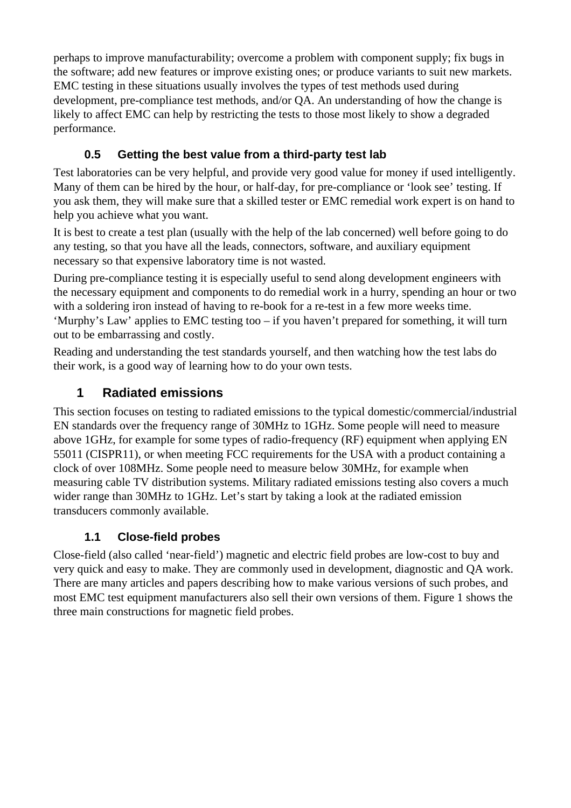perhaps to improve manufacturability; overcome a problem with component supply; fix bugs in the software; add new features or improve existing ones; or produce variants to suit new markets. EMC testing in these situations usually involves the types of test methods used during development, pre-compliance test methods, and/or QA. An understanding of how the change is likely to affect EMC can help by restricting the tests to those most likely to show a degraded performance.

# **0.5 Getting the best value from a third-party test lab**

Test laboratories can be very helpful, and provide very good value for money if used intelligently. Many of them can be hired by the hour, or half-day, for pre-compliance or 'look see' testing. If you ask them, they will make sure that a skilled tester or EMC remedial work expert is on hand to help you achieve what you want.

It is best to create a test plan (usually with the help of the lab concerned) well before going to do any testing, so that you have all the leads, connectors, software, and auxiliary equipment necessary so that expensive laboratory time is not wasted.

During pre-compliance testing it is especially useful to send along development engineers with the necessary equipment and components to do remedial work in a hurry, spending an hour or two with a soldering iron instead of having to re-book for a re-test in a few more weeks time. 'Murphy's Law' applies to EMC testing too – if you haven't prepared for something, it will turn out to be embarrassing and costly.

Reading and understanding the test standards yourself, and then watching how the test labs do their work, is a good way of learning how to do your own tests.

# **1 Radiated emissions**

This section focuses on testing to radiated emissions to the typical domestic/commercial/industrial EN standards over the frequency range of 30MHz to 1GHz. Some people will need to measure above 1GHz, for example for some types of radio-frequency (RF) equipment when applying EN 55011 (CISPR11), or when meeting FCC requirements for the USA with a product containing a clock of over 108MHz. Some people need to measure below 30MHz, for example when measuring cable TV distribution systems. Military radiated emissions testing also covers a much wider range than 30MHz to 1GHz. Let's start by taking a look at the radiated emission transducers commonly available.

#### **1.1 Close-field probes**

Close-field (also called 'near-field') magnetic and electric field probes are low-cost to buy and very quick and easy to make. They are commonly used in development, diagnostic and QA work. There are many articles and papers describing how to make various versions of such probes, and most EMC test equipment manufacturers also sell their own versions of them. Figure 1 shows the three main constructions for magnetic field probes.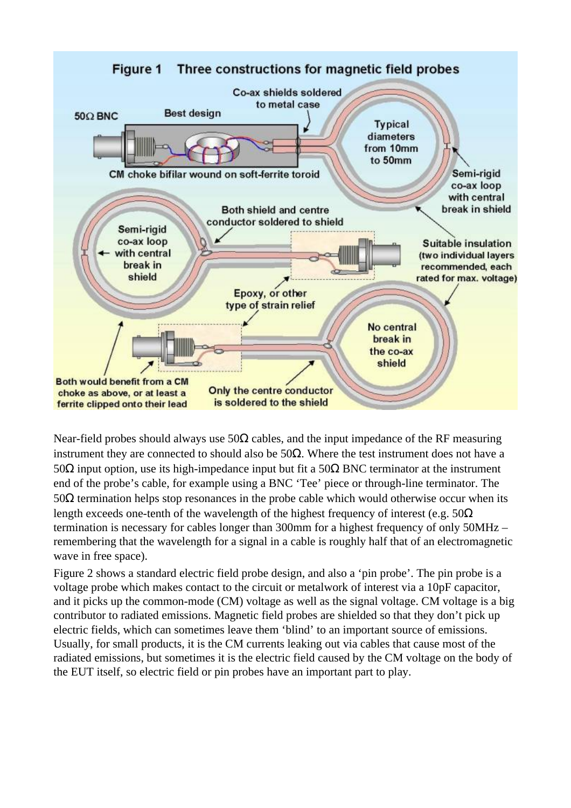

Near-field probes should always use  $50\Omega$  cables, and the input impedance of the RF measuring instrument they are connected to should also be 50Ω. Where the test instrument does not have a 50Ω input option, use its high-impedance input but fit a 50Ω BNC terminator at the instrument end of the probe's cable, for example using a BNC 'Tee' piece or through-line terminator. The 50Ω termination helps stop resonances in the probe cable which would otherwise occur when its length exceeds one-tenth of the wavelength of the highest frequency of interest (e.g.  $50\Omega$ ) termination is necessary for cables longer than 300mm for a highest frequency of only 50MHz – remembering that the wavelength for a signal in a cable is roughly half that of an electromagnetic wave in free space).

Figure 2 shows a standard electric field probe design, and also a 'pin probe'. The pin probe is a voltage probe which makes contact to the circuit or metalwork of interest via a 10pF capacitor, and it picks up the common-mode (CM) voltage as well as the signal voltage. CM voltage is a big contributor to radiated emissions. Magnetic field probes are shielded so that they don't pick up electric fields, which can sometimes leave them 'blind' to an important source of emissions. Usually, for small products, it is the CM currents leaking out via cables that cause most of the radiated emissions, but sometimes it is the electric field caused by the CM voltage on the body of the EUT itself, so electric field or pin probes have an important part to play.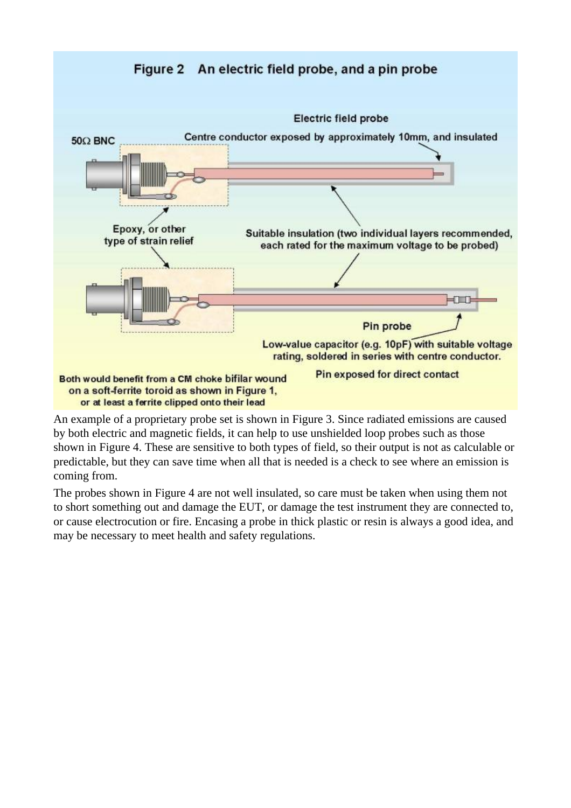



An example of a proprietary probe set is shown in Figure 3. Since radiated emissions are caused by both electric and magnetic fields, it can help to use unshielded loop probes such as those shown in Figure 4. These are sensitive to both types of field, so their output is not as calculable or predictable, but they can save time when all that is needed is a check to see where an emission is coming from.

The probes shown in Figure 4 are not well insulated, so care must be taken when using them not to short something out and damage the EUT, or damage the test instrument they are connected to, or cause electrocution or fire. Encasing a probe in thick plastic or resin is always a good idea, and may be necessary to meet health and safety regulations.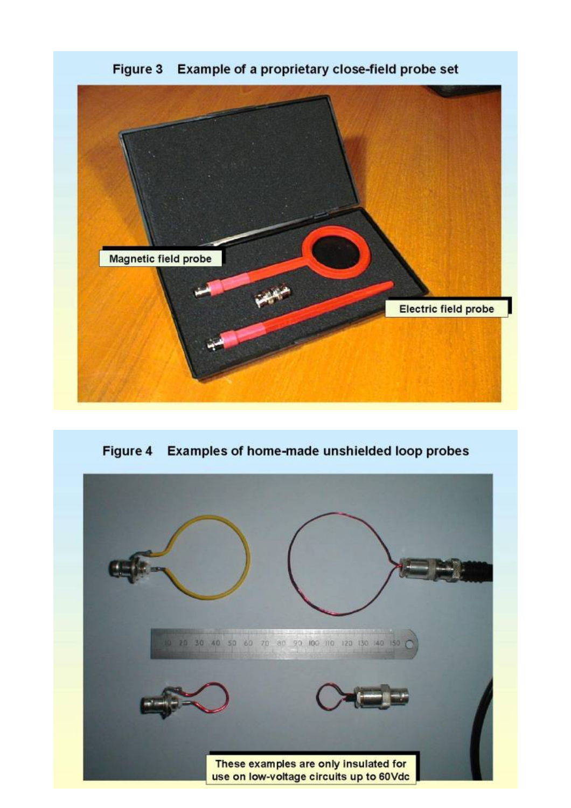

Figure 3 Example of a proprietary close-field probe set

Figure 4 Examples of home-made unshielded loop probes

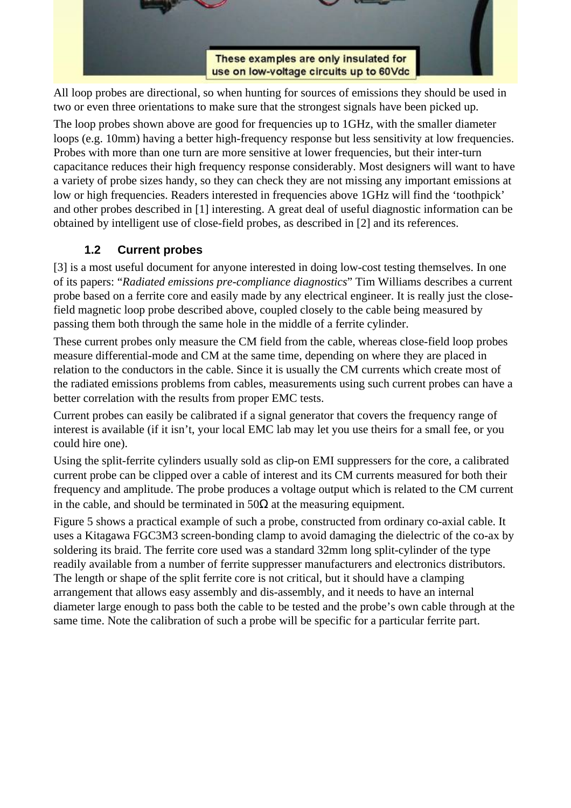

All loop probes are directional, so when hunting for sources of emissions they should be used in two or even three orientations to make sure that the strongest signals have been picked up.

The loop probes shown above are good for frequencies up to 1GHz, with the smaller diameter loops (e.g. 10mm) having a better high-frequency response but less sensitivity at low frequencies. Probes with more than one turn are more sensitive at lower frequencies, but their inter-turn capacitance reduces their high frequency response considerably. Most designers will want to have a variety of probe sizes handy, so they can check they are not missing any important emissions at low or high frequencies. Readers interested in frequencies above 1GHz will find the 'toothpick' and other probes described in [1] interesting. A great deal of useful diagnostic information can be obtained by intelligent use of close-field probes, as described in [2] and its references.

#### **1.2 Current probes**

[3] is a most useful document for anyone interested in doing low-cost testing themselves. In one of its papers: "*Radiated emissions pre-compliance diagnostics*" Tim Williams describes a current probe based on a ferrite core and easily made by any electrical engineer. It is really just the closefield magnetic loop probe described above, coupled closely to the cable being measured by passing them both through the same hole in the middle of a ferrite cylinder.

These current probes only measure the CM field from the cable, whereas close-field loop probes measure differential-mode and CM at the same time, depending on where they are placed in relation to the conductors in the cable. Since it is usually the CM currents which create most of the radiated emissions problems from cables, measurements using such current probes can have a better correlation with the results from proper EMC tests.

Current probes can easily be calibrated if a signal generator that covers the frequency range of interest is available (if it isn't, your local EMC lab may let you use theirs for a small fee, or you could hire one).

Using the split-ferrite cylinders usually sold as clip-on EMI suppressers for the core, a calibrated current probe can be clipped over a cable of interest and its CM currents measured for both their frequency and amplitude. The probe produces a voltage output which is related to the CM current in the cable, and should be terminated in  $50\Omega$  at the measuring equipment.

Figure 5 shows a practical example of such a probe, constructed from ordinary co-axial cable. It uses a Kitagawa FGC3M3 screen-bonding clamp to avoid damaging the dielectric of the co-ax by soldering its braid. The ferrite core used was a standard 32mm long split-cylinder of the type readily available from a number of ferrite suppresser manufacturers and electronics distributors. The length or shape of the split ferrite core is not critical, but it should have a clamping arrangement that allows easy assembly and dis-assembly, and it needs to have an internal diameter large enough to pass both the cable to be tested and the probe's own cable through at the same time. Note the calibration of such a probe will be specific for a particular ferrite part.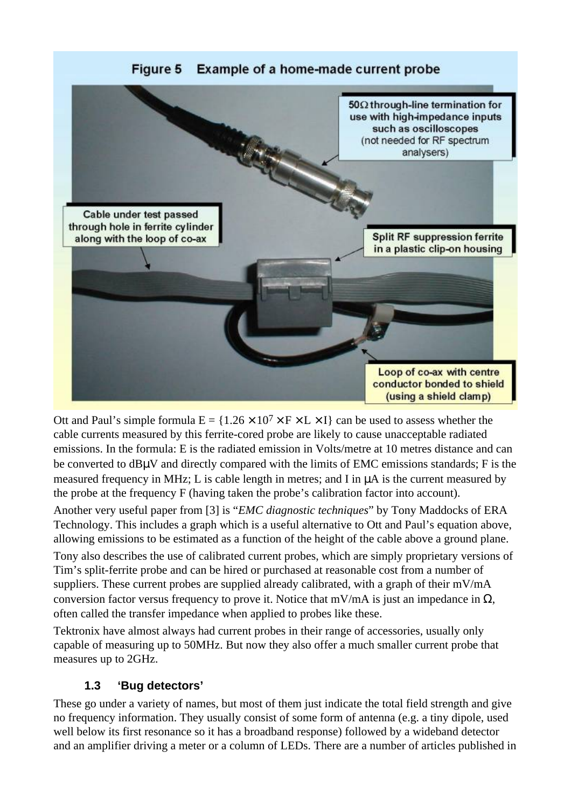

Ott and Paul's simple formula  $E = \{1.26 \times 10^7 \times F \times L \times I\}$  can be used to assess whether the cable currents measured by this ferrite-cored probe are likely to cause unacceptable radiated emissions. In the formula: E is the radiated emission in Volts/metre at 10 metres distance and can be converted to dBµV and directly compared with the limits of EMC emissions standards; F is the measured frequency in MHz; L is cable length in metres; and I in µA is the current measured by the probe at the frequency F (having taken the probe's calibration factor into account).

Another very useful paper from [3] is "*EMC diagnostic techniques*" by Tony Maddocks of ERA Technology. This includes a graph which is a useful alternative to Ott and Paul's equation above, allowing emissions to be estimated as a function of the height of the cable above a ground plane.

Tony also describes the use of calibrated current probes, which are simply proprietary versions of Tim's split-ferrite probe and can be hired or purchased at reasonable cost from a number of suppliers. These current probes are supplied already calibrated, with a graph of their mV/mA conversion factor versus frequency to prove it. Notice that mV/mA is just an impedance in  $\Omega$ , often called the transfer impedance when applied to probes like these.

Tektronix have almost always had current probes in their range of accessories, usually only capable of measuring up to 50MHz. But now they also offer a much smaller current probe that measures up to 2GHz.

#### **1.3 'Bug detectors'**

These go under a variety of names, but most of them just indicate the total field strength and give no frequency information. They usually consist of some form of antenna (e.g. a tiny dipole, used well below its first resonance so it has a broadband response) followed by a wideband detector and an amplifier driving a meter or a column of LEDs. There are a number of articles published in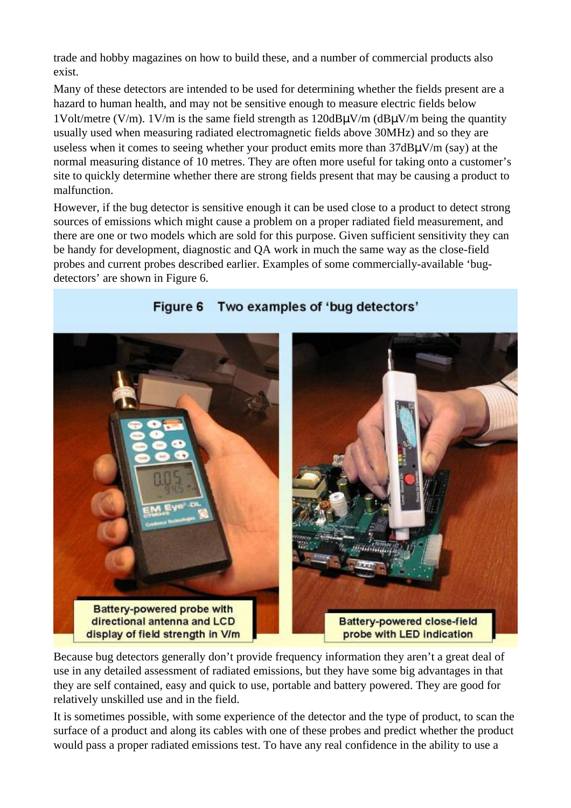trade and hobby magazines on how to build these, and a number of commercial products also exist.

Many of these detectors are intended to be used for determining whether the fields present are a hazard to human health, and may not be sensitive enough to measure electric fields below 1Volt/metre (V/m). 1V/m is the same field strength as  $120 dB\mu V/m$  ( $dB\mu V/m$  being the quantity usually used when measuring radiated electromagnetic fields above 30MHz) and so they are useless when it comes to seeing whether your product emits more than 37dBµV/m (say) at the normal measuring distance of 10 metres. They are often more useful for taking onto a customer's site to quickly determine whether there are strong fields present that may be causing a product to malfunction.

However, if the bug detector is sensitive enough it can be used close to a product to detect strong sources of emissions which might cause a problem on a proper radiated field measurement, and there are one or two models which are sold for this purpose. Given sufficient sensitivity they can be handy for development, diagnostic and QA work in much the same way as the close-field probes and current probes described earlier. Examples of some commercially-available 'bugdetectors' are shown in Figure 6.



#### Figure 6 Two examples of 'bug detectors'

Because bug detectors generally don't provide frequency information they aren't a great deal of use in any detailed assessment of radiated emissions, but they have some big advantages in that they are self contained, easy and quick to use, portable and battery powered. They are good for relatively unskilled use and in the field.

It is sometimes possible, with some experience of the detector and the type of product, to scan the surface of a product and along its cables with one of these probes and predict whether the product would pass a proper radiated emissions test. To have any real confidence in the ability to use a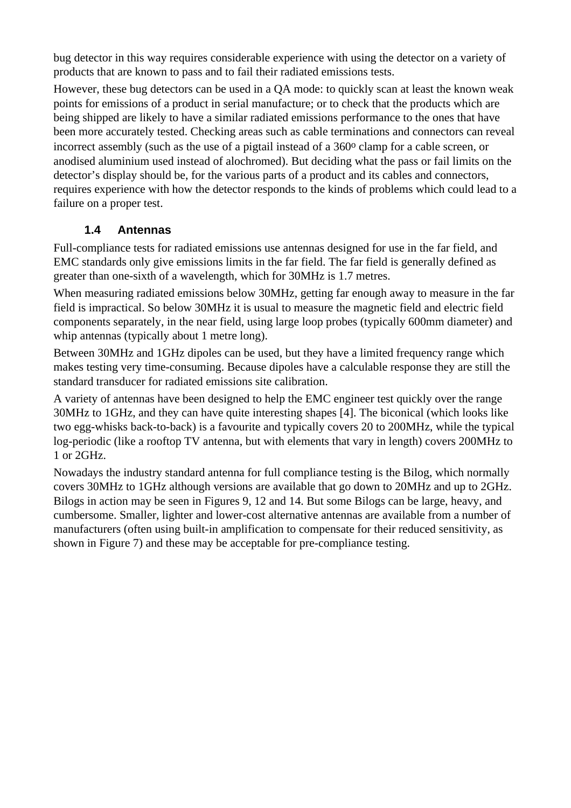bug detector in this way requires considerable experience with using the detector on a variety of products that are known to pass and to fail their radiated emissions tests.

However, these bug detectors can be used in a QA mode: to quickly scan at least the known weak points for emissions of a product in serial manufacture; or to check that the products which are being shipped are likely to have a similar radiated emissions performance to the ones that have been more accurately tested. Checking areas such as cable terminations and connectors can reveal incorrect assembly (such as the use of a pigtail instead of a 360<sup>o</sup> clamp for a cable screen, or anodised aluminium used instead of alochromed). But deciding what the pass or fail limits on the detector's display should be, for the various parts of a product and its cables and connectors, requires experience with how the detector responds to the kinds of problems which could lead to a failure on a proper test.

#### **1.4 Antennas**

Full-compliance tests for radiated emissions use antennas designed for use in the far field, and EMC standards only give emissions limits in the far field. The far field is generally defined as greater than one-sixth of a wavelength, which for 30MHz is 1.7 metres.

When measuring radiated emissions below 30MHz, getting far enough away to measure in the far field is impractical. So below 30MHz it is usual to measure the magnetic field and electric field components separately, in the near field, using large loop probes (typically 600mm diameter) and whip antennas (typically about 1 metre long).

Between 30MHz and 1GHz dipoles can be used, but they have a limited frequency range which makes testing very time-consuming. Because dipoles have a calculable response they are still the standard transducer for radiated emissions site calibration.

A variety of antennas have been designed to help the EMC engineer test quickly over the range 30MHz to 1GHz, and they can have quite interesting shapes [4]. The biconical (which looks like two egg-whisks back-to-back) is a favourite and typically covers 20 to 200MHz, while the typical log-periodic (like a rooftop TV antenna, but with elements that vary in length) covers 200MHz to 1 or 2GHz.

Nowadays the industry standard antenna for full compliance testing is the Bilog, which normally covers 30MHz to 1GHz although versions are available that go down to 20MHz and up to 2GHz. Bilogs in action may be seen in Figures 9, 12 and 14. But some Bilogs can be large, heavy, and cumbersome. Smaller, lighter and lower-cost alternative antennas are available from a number of manufacturers (often using built-in amplification to compensate for their reduced sensitivity, as shown in Figure 7) and these may be acceptable for pre-compliance testing.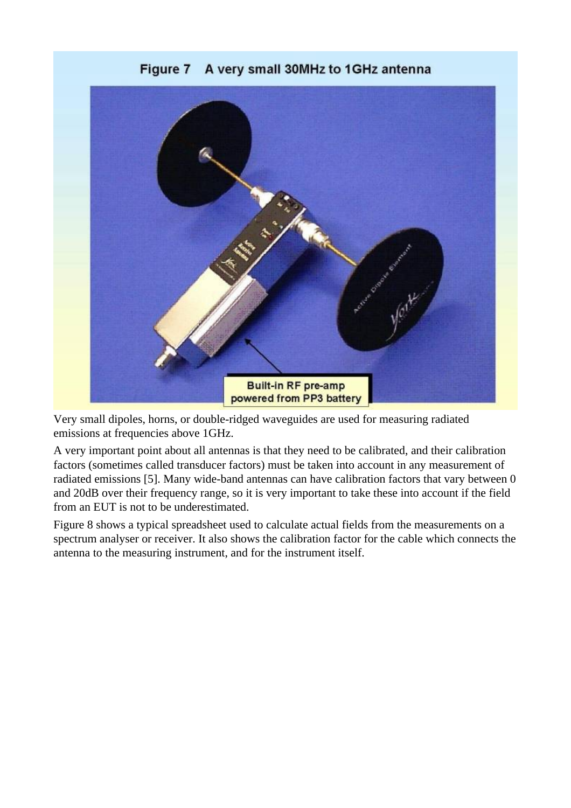

**Figure 7** A very small 30MHz to 1GHz antenna

Very small dipoles, horns, or double-ridged waveguides are used for measuring radiated emissions at frequencies above 1GHz.

A very important point about all antennas is that they need to be calibrated, and their calibration factors (sometimes called transducer factors) must be taken into account in any measurement of radiated emissions [5]. Many wide-band antennas can have calibration factors that vary between 0 and 20dB over their frequency range, so it is very important to take these into account if the field from an EUT is not to be underestimated.

Figure 8 shows a typical spreadsheet used to calculate actual fields from the measurements on a spectrum analyser or receiver. It also shows the calibration factor for the cable which connects the antenna to the measuring instrument, and for the instrument itself.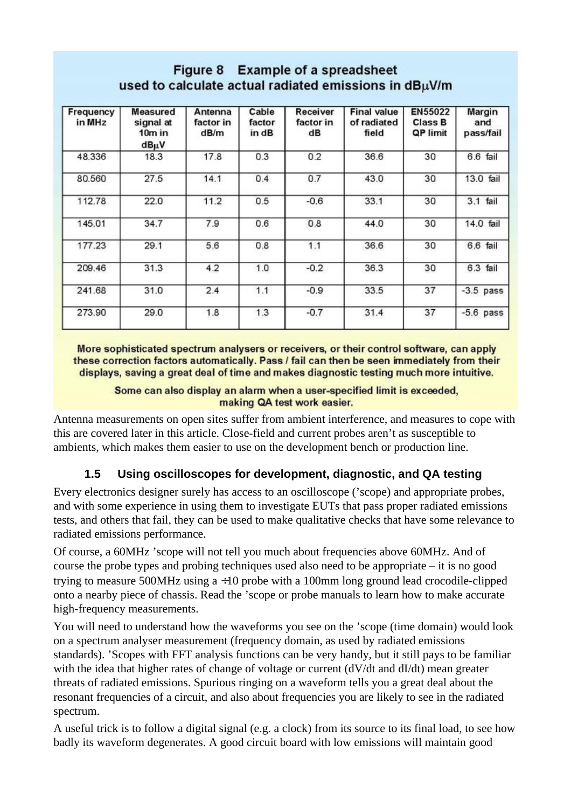## Figure 8 Example of a spreadsheet used to calculate actual radiated emissions in dBuV/m

| Frequency<br>in MHz | Measured<br>signal at<br>$10m$ in<br>$dB\muV$ | Antenna<br>factor in<br>dB/m | Cable<br>factor<br>in dB | Receiver<br>factor in<br>dB | <b>Final value</b><br>of radiated<br>field | <b>EN55022</b><br><b>Class B</b><br>QP limit | Margin<br>and<br>pass/fail |
|---------------------|-----------------------------------------------|------------------------------|--------------------------|-----------------------------|--------------------------------------------|----------------------------------------------|----------------------------|
| 48.336              | 18.3                                          | 17.8                         | 0.3                      | 0.2                         | 36.6                                       | 30                                           | 6.6 fail                   |
| 80.560              | 27.5                                          | 14.1                         | 0.4                      | 0.7                         | 43.0                                       | 30                                           | 13.0 fail                  |
| 112.78              | 22.0                                          | 11.2                         | 0.5                      | $-0.6$                      | 33.1                                       | 30                                           | 3.1 fail                   |
| 145.01              | 34.7                                          | 7.9                          | 0.6                      | 0.8                         | 44.0                                       | 30                                           | 14.0 fail                  |
| 177.23              | 29.1                                          | 5.6                          | 0.8                      | 1.1                         | 36.6                                       | 30                                           | 6.6 fail                   |
| 209.46              | 31.3                                          | 4.2                          | 1.0                      | $-0.2$                      | 36.3                                       | 30                                           | 6.3 fail                   |
| 241.68              | 31.0                                          | 2.4                          | 1.1                      | $-0.9$                      | 33.5                                       | 37                                           | $-3.5$ pass                |
| 273.90              | 29.0                                          | 1.8                          | 1.3                      | $-0.7$                      | 31.4                                       | 37                                           | $-5.6$ pass                |

More sophisticated spectrum analysers or receivers, or their control software, can apply these correction factors automatically. Pass / fail can then be seen immediately from their displays, saving a great deal of time and makes diagnostic testing much more intuitive.

Some can also display an alarm when a user-specified limit is exceeded, making QA test work easier.

Antenna measurements on open sites suffer from ambient interference, and measures to cope with this are covered later in this article. Close-field and current probes aren't as susceptible to ambients, which makes them easier to use on the development bench or production line.

#### **1.5 Using oscilloscopes for development, diagnostic, and QA testing**

Every electronics designer surely has access to an oscilloscope ('scope) and appropriate probes, and with some experience in using them to investigate EUTs that pass proper radiated emissions tests, and others that fail, they can be used to make qualitative checks that have some relevance to radiated emissions performance.

Of course, a 60MHz 'scope will not tell you much about frequencies above 60MHz. And of course the probe types and probing techniques used also need to be appropriate – it is no good trying to measure 500MHz using a ÷10 probe with a 100mm long ground lead crocodile-clipped onto a nearby piece of chassis. Read the 'scope or probe manuals to learn how to make accurate high-frequency measurements.

You will need to understand how the waveforms you see on the 'scope (time domain) would look on a spectrum analyser measurement (frequency domain, as used by radiated emissions standards). 'Scopes with FFT analysis functions can be very handy, but it still pays to be familiar with the idea that higher rates of change of voltage or current (dV/dt and dI/dt) mean greater threats of radiated emissions. Spurious ringing on a waveform tells you a great deal about the resonant frequencies of a circuit, and also about frequencies you are likely to see in the radiated spectrum.

A useful trick is to follow a digital signal (e.g. a clock) from its source to its final load, to see how badly its waveform degenerates. A good circuit board with low emissions will maintain good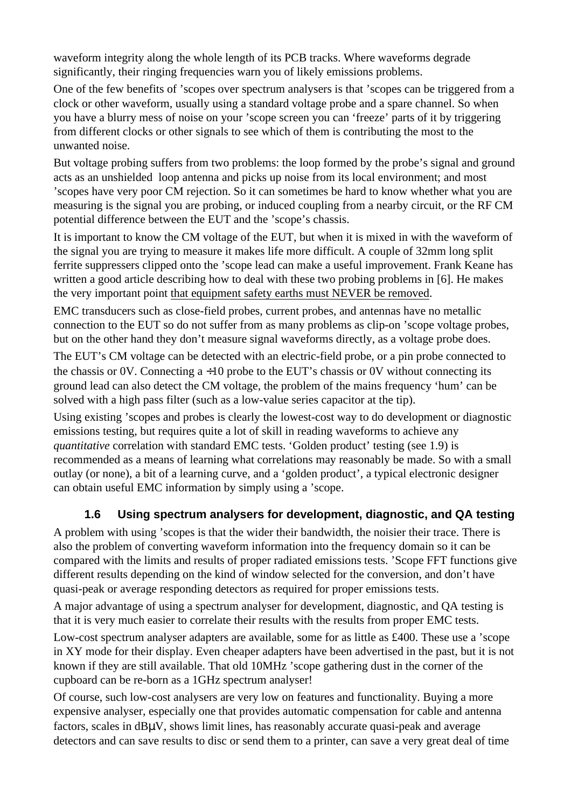waveform integrity along the whole length of its PCB tracks. Where waveforms degrade significantly, their ringing frequencies warn you of likely emissions problems.

One of the few benefits of 'scopes over spectrum analysers is that 'scopes can be triggered from a clock or other waveform, usually using a standard voltage probe and a spare channel. So when you have a blurry mess of noise on your 'scope screen you can 'freeze' parts of it by triggering from different clocks or other signals to see which of them is contributing the most to the unwanted noise.

But voltage probing suffers from two problems: the loop formed by the probe's signal and ground acts as an unshielded loop antenna and picks up noise from its local environment; and most 'scopes have very poor CM rejection. So it can sometimes be hard to know whether what you are measuring is the signal you are probing, or induced coupling from a nearby circuit, or the RF CM potential difference between the EUT and the 'scope's chassis.

It is important to know the CM voltage of the EUT, but when it is mixed in with the waveform of the signal you are trying to measure it makes life more difficult. A couple of 32mm long split ferrite suppressers clipped onto the 'scope lead can make a useful improvement. Frank Keane has written a good article describing how to deal with these two probing problems in [6]. He makes the very important point that equipment safety earths must NEVER be removed.

EMC transducers such as close-field probes, current probes, and antennas have no metallic connection to the EUT so do not suffer from as many problems as clip-on 'scope voltage probes, but on the other hand they don't measure signal waveforms directly, as a voltage probe does.

The EUT's CM voltage can be detected with an electric-field probe, or a pin probe connected to the chassis or 0V. Connecting  $a \div 10$  probe to the EUT's chassis or 0V without connecting its ground lead can also detect the CM voltage, the problem of the mains frequency 'hum' can be solved with a high pass filter (such as a low-value series capacitor at the tip).

Using existing 'scopes and probes is clearly the lowest-cost way to do development or diagnostic emissions testing, but requires quite a lot of skill in reading waveforms to achieve any *quantitative* correlation with standard EMC tests. 'Golden product' testing (see 1.9) is recommended as a means of learning what correlations may reasonably be made. So with a small outlay (or none), a bit of a learning curve, and a 'golden product', a typical electronic designer can obtain useful EMC information by simply using a 'scope.

#### **1.6 Using spectrum analysers for development, diagnostic, and QA testing**

A problem with using 'scopes is that the wider their bandwidth, the noisier their trace. There is also the problem of converting waveform information into the frequency domain so it can be compared with the limits and results of proper radiated emissions tests. 'Scope FFT functions give different results depending on the kind of window selected for the conversion, and don't have quasi-peak or average responding detectors as required for proper emissions tests.

A major advantage of using a spectrum analyser for development, diagnostic, and QA testing is that it is very much easier to correlate their results with the results from proper EMC tests.

Low-cost spectrum analyser adapters are available, some for as little as £400. These use a 'scope in XY mode for their display. Even cheaper adapters have been advertised in the past, but it is not known if they are still available. That old 10MHz 'scope gathering dust in the corner of the cupboard can be re-born as a 1GHz spectrum analyser!

Of course, such low-cost analysers are very low on features and functionality. Buying a more expensive analyser, especially one that provides automatic compensation for cable and antenna factors, scales in dBµV, shows limit lines, has reasonably accurate quasi-peak and average detectors and can save results to disc or send them to a printer, can save a very great deal of time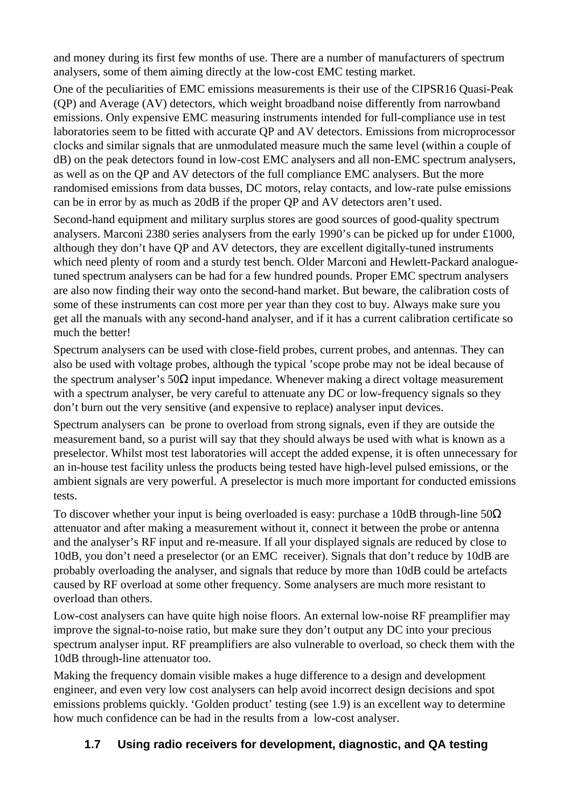and money during its first few months of use. There are a number of manufacturers of spectrum analysers, some of them aiming directly at the low-cost EMC testing market.

One of the peculiarities of EMC emissions measurements is their use of the CIPSR16 Quasi-Peak (QP) and Average (AV) detectors, which weight broadband noise differently from narrowband emissions. Only expensive EMC measuring instruments intended for full-compliance use in test laboratories seem to be fitted with accurate QP and AV detectors. Emissions from microprocessor clocks and similar signals that are unmodulated measure much the same level (within a couple of dB) on the peak detectors found in low-cost EMC analysers and all non-EMC spectrum analysers, as well as on the QP and AV detectors of the full compliance EMC analysers. But the more randomised emissions from data busses, DC motors, relay contacts, and low-rate pulse emissions can be in error by as much as 20dB if the proper QP and AV detectors aren't used.

Second-hand equipment and military surplus stores are good sources of good-quality spectrum analysers. Marconi 2380 series analysers from the early 1990's can be picked up for under £1000, although they don't have QP and AV detectors, they are excellent digitally-tuned instruments which need plenty of room and a sturdy test bench. Older Marconi and Hewlett-Packard analoguetuned spectrum analysers can be had for a few hundred pounds. Proper EMC spectrum analysers are also now finding their way onto the second-hand market. But beware, the calibration costs of some of these instruments can cost more per year than they cost to buy. Always make sure you get all the manuals with any second-hand analyser, and if it has a current calibration certificate so much the better!

Spectrum analysers can be used with close-field probes, current probes, and antennas. They can also be used with voltage probes, although the typical 'scope probe may not be ideal because of the spectrum analyser's  $50\Omega$  input impedance. Whenever making a direct voltage measurement with a spectrum analyser, be very careful to attenuate any DC or low-frequency signals so they don't burn out the very sensitive (and expensive to replace) analyser input devices.

Spectrum analysers can be prone to overload from strong signals, even if they are outside the measurement band, so a purist will say that they should always be used with what is known as a preselector. Whilst most test laboratories will accept the added expense, it is often unnecessary for an in-house test facility unless the products being tested have high-level pulsed emissions, or the ambient signals are very powerful. A preselector is much more important for conducted emissions tests.

To discover whether your input is being overloaded is easy: purchase a 10dB through-line  $50\Omega$ attenuator and after making a measurement without it, connect it between the probe or antenna and the analyser's RF input and re-measure. If all your displayed signals are reduced by close to 10dB, you don't need a preselector (or an EMC receiver). Signals that don't reduce by 10dB are probably overloading the analyser, and signals that reduce by more than 10dB could be artefacts caused by RF overload at some other frequency. Some analysers are much more resistant to overload than others.

Low-cost analysers can have quite high noise floors. An external low-noise RF preamplifier may improve the signal-to-noise ratio, but make sure they don't output any DC into your precious spectrum analyser input. RF preamplifiers are also vulnerable to overload, so check them with the 10dB through-line attenuator too.

Making the frequency domain visible makes a huge difference to a design and development engineer, and even very low cost analysers can help avoid incorrect design decisions and spot emissions problems quickly. 'Golden product' testing (see 1.9) is an excellent way to determine how much confidence can be had in the results from a low-cost analyser.

## **1.7 Using radio receivers for development, diagnostic, and QA testing**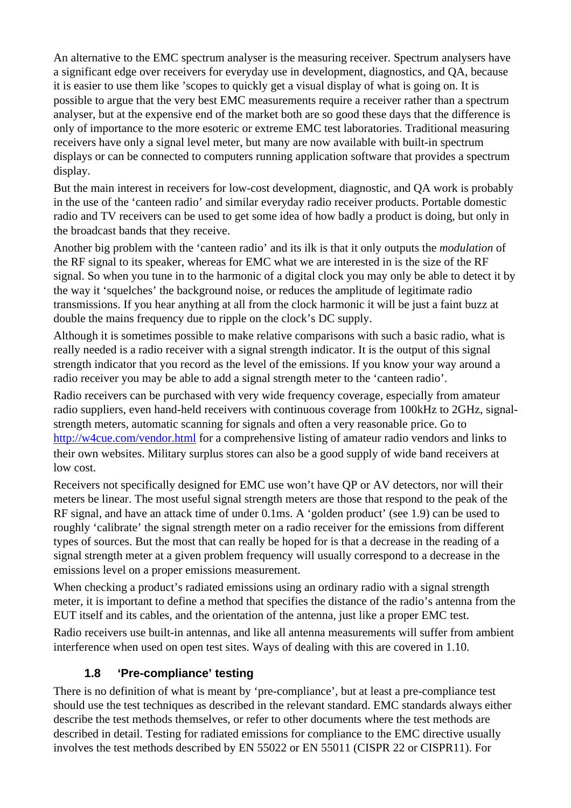An alternative to the EMC spectrum analyser is the measuring receiver. Spectrum analysers have a significant edge over receivers for everyday use in development, diagnostics, and QA, because it is easier to use them like 'scopes to quickly get a visual display of what is going on. It is possible to argue that the very best EMC measurements require a receiver rather than a spectrum analyser, but at the expensive end of the market both are so good these days that the difference is only of importance to the more esoteric or extreme EMC test laboratories. Traditional measuring receivers have only a signal level meter, but many are now available with built-in spectrum displays or can be connected to computers running application software that provides a spectrum display.

But the main interest in receivers for low-cost development, diagnostic, and QA work is probably in the use of the 'canteen radio' and similar everyday radio receiver products. Portable domestic radio and TV receivers can be used to get some idea of how badly a product is doing, but only in the broadcast bands that they receive.

Another big problem with the 'canteen radio' and its ilk is that it only outputs the *modulation* of the RF signal to its speaker, whereas for EMC what we are interested in is the size of the RF signal. So when you tune in to the harmonic of a digital clock you may only be able to detect it by the way it 'squelches' the background noise, or reduces the amplitude of legitimate radio transmissions. If you hear anything at all from the clock harmonic it will be just a faint buzz at double the mains frequency due to ripple on the clock's DC supply.

Although it is sometimes possible to make relative comparisons with such a basic radio, what is really needed is a radio receiver with a signal strength indicator. It is the output of this signal strength indicator that you record as the level of the emissions. If you know your way around a radio receiver you may be able to add a signal strength meter to the 'canteen radio'.

Radio receivers can be purchased with very wide frequency coverage, especially from amateur radio suppliers, even hand-held receivers with continuous coverage from 100kHz to 2GHz, signalstrength meters, automatic scanning for signals and often a very reasonable price. Go to <http://w4cue.com/vendor.html> for a comprehensive listing of amateur radio vendors and links to their own websites. Military surplus stores can also be a good supply of wide band receivers at low cost.

Receivers not specifically designed for EMC use won't have QP or AV detectors, nor will their meters be linear. The most useful signal strength meters are those that respond to the peak of the RF signal, and have an attack time of under 0.1ms. A 'golden product' (see 1.9) can be used to roughly 'calibrate' the signal strength meter on a radio receiver for the emissions from different types of sources. But the most that can really be hoped for is that a decrease in the reading of a signal strength meter at a given problem frequency will usually correspond to a decrease in the emissions level on a proper emissions measurement.

When checking a product's radiated emissions using an ordinary radio with a signal strength meter, it is important to define a method that specifies the distance of the radio's antenna from the EUT itself and its cables, and the orientation of the antenna, just like a proper EMC test.

Radio receivers use built-in antennas, and like all antenna measurements will suffer from ambient interference when used on open test sites. Ways of dealing with this are covered in 1.10.

#### **1.8 'Pre-compliance' testing**

There is no definition of what is meant by 'pre-compliance', but at least a pre-compliance test should use the test techniques as described in the relevant standard. EMC standards always either describe the test methods themselves, or refer to other documents where the test methods are described in detail. Testing for radiated emissions for compliance to the EMC directive usually involves the test methods described by EN 55022 or EN 55011 (CISPR 22 or CISPR11). For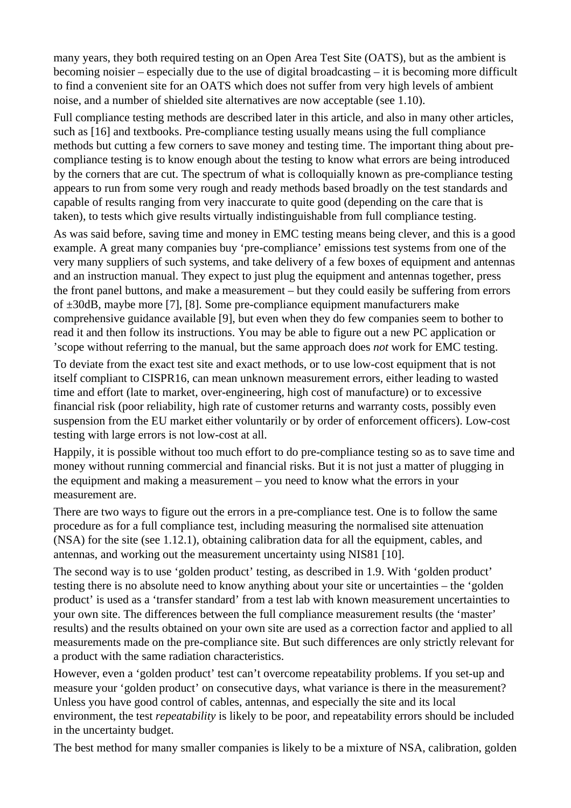many years, they both required testing on an Open Area Test Site (OATS), but as the ambient is becoming noisier – especially due to the use of digital broadcasting – it is becoming more difficult to find a convenient site for an OATS which does not suffer from very high levels of ambient noise, and a number of shielded site alternatives are now acceptable (see 1.10).

Full compliance testing methods are described later in this article, and also in many other articles, such as [16] and textbooks. Pre-compliance testing usually means using the full compliance methods but cutting a few corners to save money and testing time. The important thing about precompliance testing is to know enough about the testing to know what errors are being introduced by the corners that are cut. The spectrum of what is colloquially known as pre-compliance testing appears to run from some very rough and ready methods based broadly on the test standards and capable of results ranging from very inaccurate to quite good (depending on the care that is taken), to tests which give results virtually indistinguishable from full compliance testing.

As was said before, saving time and money in EMC testing means being clever, and this is a good example. A great many companies buy 'pre-compliance' emissions test systems from one of the very many suppliers of such systems, and take delivery of a few boxes of equipment and antennas and an instruction manual. They expect to just plug the equipment and antennas together, press the front panel buttons, and make a measurement – but they could easily be suffering from errors of ±30dB, maybe more [7], [8]. Some pre-compliance equipment manufacturers make comprehensive guidance available [9], but even when they do few companies seem to bother to read it and then follow its instructions. You may be able to figure out a new PC application or 'scope without referring to the manual, but the same approach does *not* work for EMC testing.

To deviate from the exact test site and exact methods, or to use low-cost equipment that is not itself compliant to CISPR16, can mean unknown measurement errors, either leading to wasted time and effort (late to market, over-engineering, high cost of manufacture) or to excessive financial risk (poor reliability, high rate of customer returns and warranty costs, possibly even suspension from the EU market either voluntarily or by order of enforcement officers). Low-cost testing with large errors is not low-cost at all.

Happily, it is possible without too much effort to do pre-compliance testing so as to save time and money without running commercial and financial risks. But it is not just a matter of plugging in the equipment and making a measurement – you need to know what the errors in your measurement are.

There are two ways to figure out the errors in a pre-compliance test. One is to follow the same procedure as for a full compliance test, including measuring the normalised site attenuation (NSA) for the site (see 1.12.1), obtaining calibration data for all the equipment, cables, and antennas, and working out the measurement uncertainty using NIS81 [10].

The second way is to use 'golden product' testing, as described in 1.9. With 'golden product' testing there is no absolute need to know anything about your site or uncertainties – the 'golden product' is used as a 'transfer standard' from a test lab with known measurement uncertainties to your own site. The differences between the full compliance measurement results (the 'master' results) and the results obtained on your own site are used as a correction factor and applied to all measurements made on the pre-compliance site. But such differences are only strictly relevant for a product with the same radiation characteristics.

However, even a 'golden product' test can't overcome repeatability problems. If you set-up and measure your 'golden product' on consecutive days, what variance is there in the measurement? Unless you have good control of cables, antennas, and especially the site and its local environment, the test *repeatability* is likely to be poor, and repeatability errors should be included in the uncertainty budget.

The best method for many smaller companies is likely to be a mixture of NSA, calibration, golden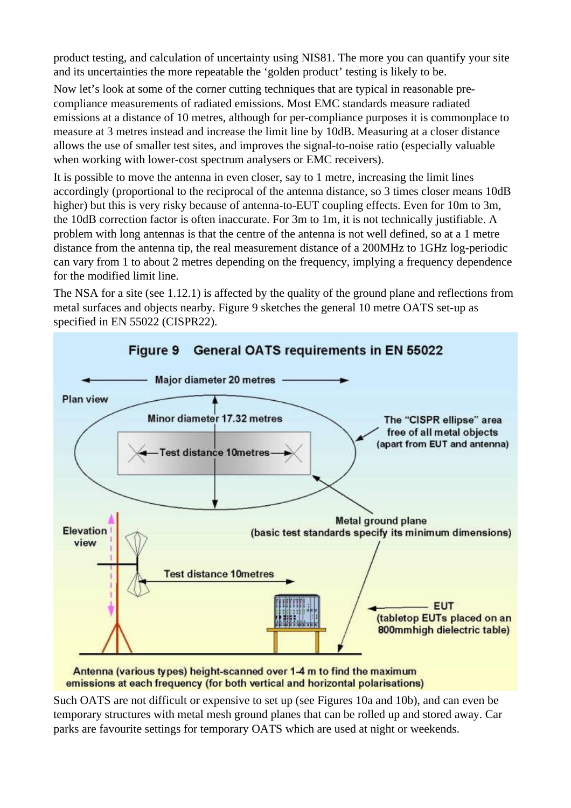product testing, and calculation of uncertainty using NIS81. The more you can quantify your site and its uncertainties the more repeatable the 'golden product' testing is likely to be.

Now let's look at some of the corner cutting techniques that are typical in reasonable precompliance measurements of radiated emissions. Most EMC standards measure radiated emissions at a distance of 10 metres, although for per-compliance purposes it is commonplace to measure at 3 metres instead and increase the limit line by 10dB. Measuring at a closer distance allows the use of smaller test sites, and improves the signal-to-noise ratio (especially valuable when working with lower-cost spectrum analysers or EMC receivers).

It is possible to move the antenna in even closer, say to 1 metre, increasing the limit lines accordingly (proportional to the reciprocal of the antenna distance, so 3 times closer means 10dB higher) but this is very risky because of antenna-to-EUT coupling effects. Even for 10m to 3m, the 10dB correction factor is often inaccurate. For 3m to 1m, it is not technically justifiable. A problem with long antennas is that the centre of the antenna is not well defined, so at a 1 metre distance from the antenna tip, the real measurement distance of a 200MHz to 1GHz log-periodic can vary from 1 to about 2 metres depending on the frequency, implying a frequency dependence for the modified limit line.

The NSA for a site (see 1.12.1) is affected by the quality of the ground plane and reflections from metal surfaces and objects nearby. Figure 9 sketches the general 10 metre OATS set-up as specified in EN 55022 (CISPR22).



emissions at each frequency (for both vertical and horizontal polarisations)

Such OATS are not difficult or expensive to set up (see Figures 10a and 10b), and can even be temporary structures with metal mesh ground planes that can be rolled up and stored away. Car parks are favourite settings for temporary OATS which are used at night or weekends.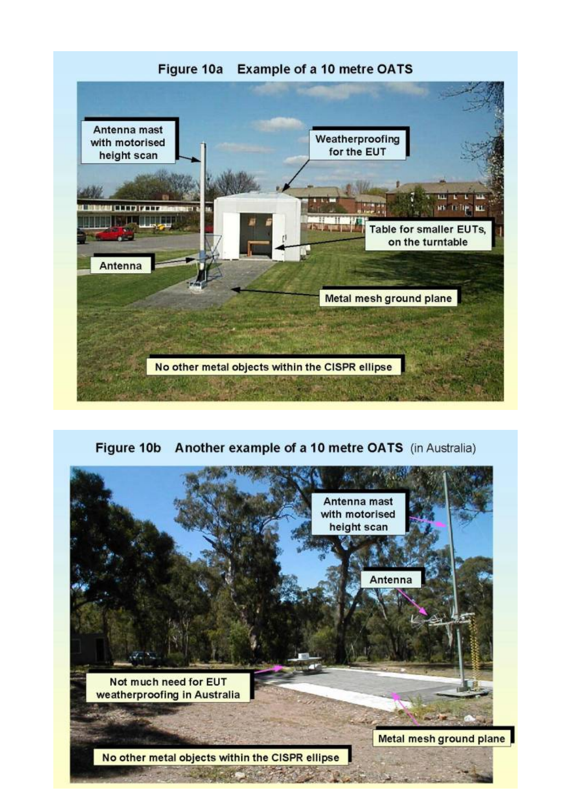

Figure 10b Another example of a 10 metre OATS (in Australia)

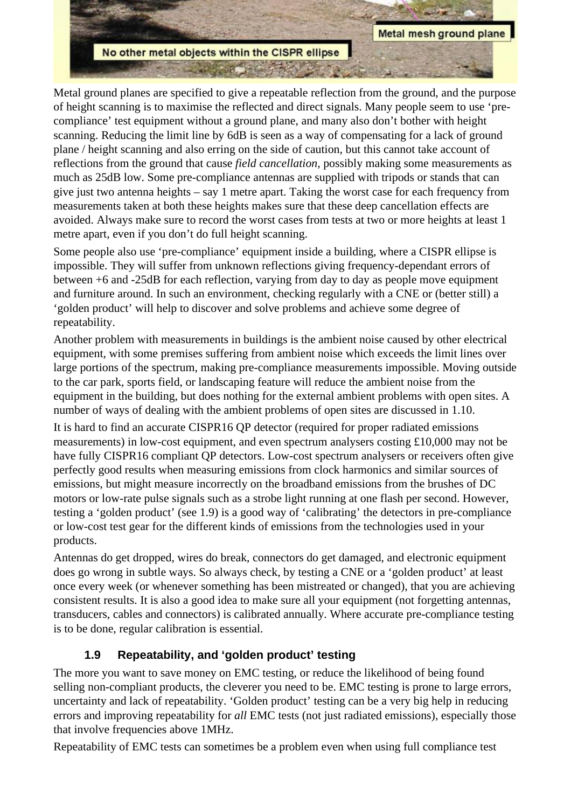

Metal ground planes are specified to give a repeatable reflection from the ground, and the purpose of height scanning is to maximise the reflected and direct signals. Many people seem to use 'precompliance' test equipment without a ground plane, and many also don't bother with height scanning. Reducing the limit line by 6dB is seen as a way of compensating for a lack of ground plane / height scanning and also erring on the side of caution, but this cannot take account of reflections from the ground that cause *field cancellation*, possibly making some measurements as much as 25dB low. Some pre-compliance antennas are supplied with tripods or stands that can give just two antenna heights – say 1 metre apart. Taking the worst case for each frequency from measurements taken at both these heights makes sure that these deep cancellation effects are avoided. Always make sure to record the worst cases from tests at two or more heights at least 1 metre apart, even if you don't do full height scanning.

Some people also use 'pre-compliance' equipment inside a building, where a CISPR ellipse is impossible. They will suffer from unknown reflections giving frequency-dependant errors of between +6 and -25dB for each reflection, varying from day to day as people move equipment and furniture around. In such an environment, checking regularly with a CNE or (better still) a 'golden product' will help to discover and solve problems and achieve some degree of repeatability.

Another problem with measurements in buildings is the ambient noise caused by other electrical equipment, with some premises suffering from ambient noise which exceeds the limit lines over large portions of the spectrum, making pre-compliance measurements impossible. Moving outside to the car park, sports field, or landscaping feature will reduce the ambient noise from the equipment in the building, but does nothing for the external ambient problems with open sites. A number of ways of dealing with the ambient problems of open sites are discussed in 1.10.

It is hard to find an accurate CISPR16 QP detector (required for proper radiated emissions measurements) in low-cost equipment, and even spectrum analysers costing £10,000 may not be have fully CISPR16 compliant QP detectors. Low-cost spectrum analysers or receivers often give perfectly good results when measuring emissions from clock harmonics and similar sources of emissions, but might measure incorrectly on the broadband emissions from the brushes of DC motors or low-rate pulse signals such as a strobe light running at one flash per second. However, testing a 'golden product' (see 1.9) is a good way of 'calibrating' the detectors in pre-compliance or low-cost test gear for the different kinds of emissions from the technologies used in your products.

Antennas do get dropped, wires do break, connectors do get damaged, and electronic equipment does go wrong in subtle ways. So always check, by testing a CNE or a 'golden product' at least once every week (or whenever something has been mistreated or changed), that you are achieving consistent results. It is also a good idea to make sure all your equipment (not forgetting antennas, transducers, cables and connectors) is calibrated annually. Where accurate pre-compliance testing is to be done, regular calibration is essential.

#### **1.9 Repeatability, and 'golden product' testing**

The more you want to save money on EMC testing, or reduce the likelihood of being found selling non-compliant products, the cleverer you need to be. EMC testing is prone to large errors, uncertainty and lack of repeatability. 'Golden product' testing can be a very big help in reducing errors and improving repeatability for *all* EMC tests (not just radiated emissions), especially those that involve frequencies above 1MHz.

Repeatability of EMC tests can sometimes be a problem even when using full compliance test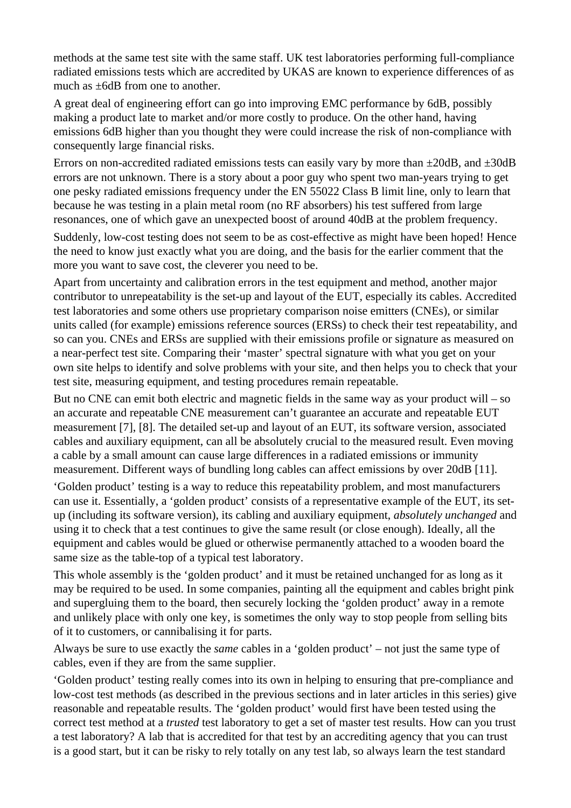methods at the same test site with the same staff. UK test laboratories performing full-compliance radiated emissions tests which are accredited by UKAS are known to experience differences of as much as ±6dB from one to another.

A great deal of engineering effort can go into improving EMC performance by 6dB, possibly making a product late to market and/or more costly to produce. On the other hand, having emissions 6dB higher than you thought they were could increase the risk of non-compliance with consequently large financial risks.

Errors on non-accredited radiated emissions tests can easily vary by more than  $\pm 20$ dB, and  $\pm 30$ dB errors are not unknown. There is a story about a poor guy who spent two man-years trying to get one pesky radiated emissions frequency under the EN 55022 Class B limit line, only to learn that because he was testing in a plain metal room (no RF absorbers) his test suffered from large resonances, one of which gave an unexpected boost of around 40dB at the problem frequency.

Suddenly, low-cost testing does not seem to be as cost-effective as might have been hoped! Hence the need to know just exactly what you are doing, and the basis for the earlier comment that the more you want to save cost, the cleverer you need to be.

Apart from uncertainty and calibration errors in the test equipment and method, another major contributor to unrepeatability is the set-up and layout of the EUT, especially its cables. Accredited test laboratories and some others use proprietary comparison noise emitters (CNEs), or similar units called (for example) emissions reference sources (ERSs) to check their test repeatability, and so can you. CNEs and ERSs are supplied with their emissions profile or signature as measured on a near-perfect test site. Comparing their 'master' spectral signature with what you get on your own site helps to identify and solve problems with your site, and then helps you to check that your test site, measuring equipment, and testing procedures remain repeatable.

But no CNE can emit both electric and magnetic fields in the same way as your product will – so an accurate and repeatable CNE measurement can't guarantee an accurate and repeatable EUT measurement [7], [8]. The detailed set-up and layout of an EUT, its software version, associated cables and auxiliary equipment, can all be absolutely crucial to the measured result. Even moving a cable by a small amount can cause large differences in a radiated emissions or immunity measurement. Different ways of bundling long cables can affect emissions by over 20dB [11].

'Golden product' testing is a way to reduce this repeatability problem, and most manufacturers can use it. Essentially, a 'golden product' consists of a representative example of the EUT, its setup (including its software version), its cabling and auxiliary equipment, *absolutely unchanged* and using it to check that a test continues to give the same result (or close enough). Ideally, all the equipment and cables would be glued or otherwise permanently attached to a wooden board the same size as the table-top of a typical test laboratory.

This whole assembly is the 'golden product' and it must be retained unchanged for as long as it may be required to be used. In some companies, painting all the equipment and cables bright pink and supergluing them to the board, then securely locking the 'golden product' away in a remote and unlikely place with only one key, is sometimes the only way to stop people from selling bits of it to customers, or cannibalising it for parts.

Always be sure to use exactly the *same* cables in a 'golden product' – not just the same type of cables, even if they are from the same supplier.

'Golden product' testing really comes into its own in helping to ensuring that pre-compliance and low-cost test methods (as described in the previous sections and in later articles in this series) give reasonable and repeatable results. The 'golden product' would first have been tested using the correct test method at a *trusted* test laboratory to get a set of master test results. How can you trust a test laboratory? A lab that is accredited for that test by an accrediting agency that you can trust is a good start, but it can be risky to rely totally on any test lab, so always learn the test standard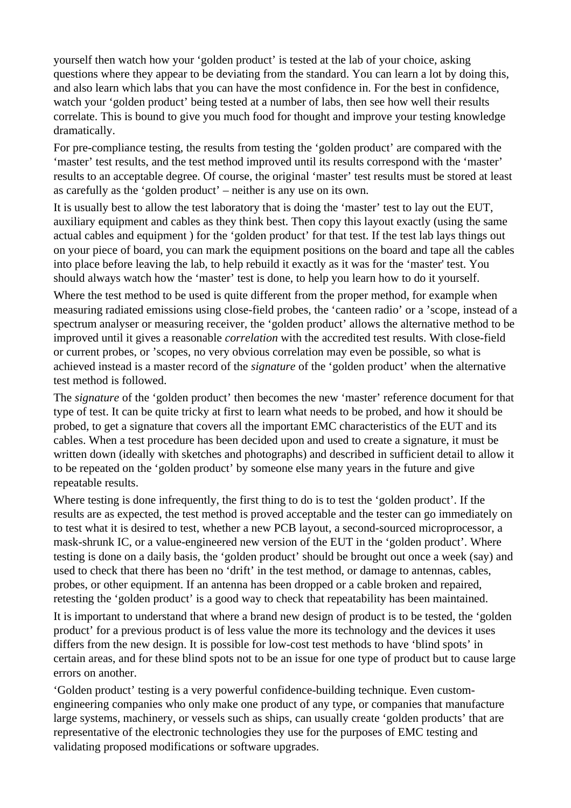yourself then watch how your 'golden product' is tested at the lab of your choice, asking questions where they appear to be deviating from the standard. You can learn a lot by doing this, and also learn which labs that you can have the most confidence in. For the best in confidence, watch your 'golden product' being tested at a number of labs, then see how well their results correlate. This is bound to give you much food for thought and improve your testing knowledge dramatically.

For pre-compliance testing, the results from testing the 'golden product' are compared with the 'master' test results, and the test method improved until its results correspond with the 'master' results to an acceptable degree. Of course, the original 'master' test results must be stored at least as carefully as the 'golden product' – neither is any use on its own.

It is usually best to allow the test laboratory that is doing the 'master' test to lay out the EUT, auxiliary equipment and cables as they think best. Then copy this layout exactly (using the same actual cables and equipment ) for the 'golden product' for that test. If the test lab lays things out on your piece of board, you can mark the equipment positions on the board and tape all the cables into place before leaving the lab, to help rebuild it exactly as it was for the 'master' test. You should always watch how the 'master' test is done, to help you learn how to do it yourself.

Where the test method to be used is quite different from the proper method, for example when measuring radiated emissions using close-field probes, the 'canteen radio' or a 'scope, instead of a spectrum analyser or measuring receiver, the 'golden product' allows the alternative method to be improved until it gives a reasonable *correlation* with the accredited test results. With close-field or current probes, or 'scopes, no very obvious correlation may even be possible, so what is achieved instead is a master record of the *signature* of the 'golden product' when the alternative test method is followed.

The *signature* of the 'golden product' then becomes the new 'master' reference document for that type of test. It can be quite tricky at first to learn what needs to be probed, and how it should be probed, to get a signature that covers all the important EMC characteristics of the EUT and its cables. When a test procedure has been decided upon and used to create a signature, it must be written down (ideally with sketches and photographs) and described in sufficient detail to allow it to be repeated on the 'golden product' by someone else many years in the future and give repeatable results.

Where testing is done infrequently, the first thing to do is to test the 'golden product'. If the results are as expected, the test method is proved acceptable and the tester can go immediately on to test what it is desired to test, whether a new PCB layout, a second-sourced microprocessor, a mask-shrunk IC, or a value-engineered new version of the EUT in the 'golden product'. Where testing is done on a daily basis, the 'golden product' should be brought out once a week (say) and used to check that there has been no 'drift' in the test method, or damage to antennas, cables, probes, or other equipment. If an antenna has been dropped or a cable broken and repaired, retesting the 'golden product' is a good way to check that repeatability has been maintained.

It is important to understand that where a brand new design of product is to be tested, the 'golden product' for a previous product is of less value the more its technology and the devices it uses differs from the new design. It is possible for low-cost test methods to have 'blind spots' in certain areas, and for these blind spots not to be an issue for one type of product but to cause large errors on another.

'Golden product' testing is a very powerful confidence-building technique. Even customengineering companies who only make one product of any type, or companies that manufacture large systems, machinery, or vessels such as ships, can usually create 'golden products' that are representative of the electronic technologies they use for the purposes of EMC testing and validating proposed modifications or software upgrades.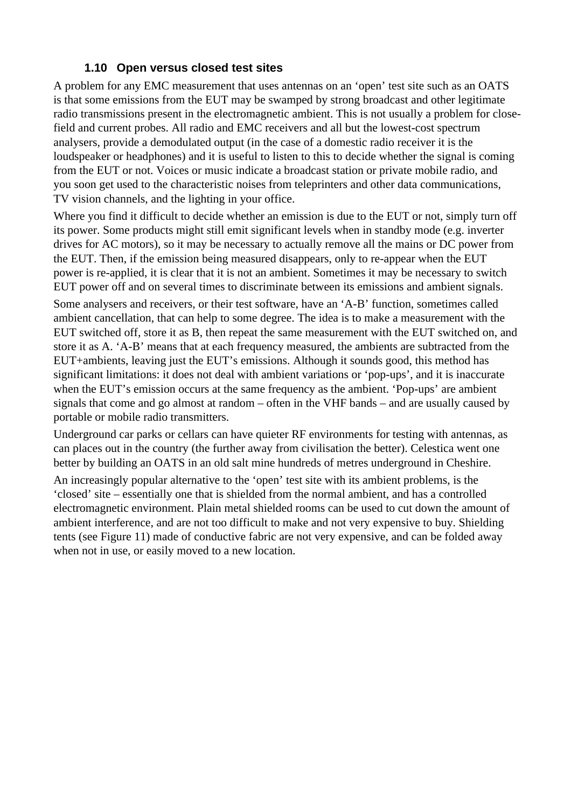#### **1.10 Open versus closed test sites**

A problem for any EMC measurement that uses antennas on an 'open' test site such as an OATS is that some emissions from the EUT may be swamped by strong broadcast and other legitimate radio transmissions present in the electromagnetic ambient. This is not usually a problem for closefield and current probes. All radio and EMC receivers and all but the lowest-cost spectrum analysers, provide a demodulated output (in the case of a domestic radio receiver it is the loudspeaker or headphones) and it is useful to listen to this to decide whether the signal is coming from the EUT or not. Voices or music indicate a broadcast station or private mobile radio, and you soon get used to the characteristic noises from teleprinters and other data communications, TV vision channels, and the lighting in your office.

Where you find it difficult to decide whether an emission is due to the EUT or not, simply turn off its power. Some products might still emit significant levels when in standby mode (e.g. inverter drives for AC motors), so it may be necessary to actually remove all the mains or DC power from the EUT. Then, if the emission being measured disappears, only to re-appear when the EUT power is re-applied, it is clear that it is not an ambient. Sometimes it may be necessary to switch EUT power off and on several times to discriminate between its emissions and ambient signals.

Some analysers and receivers, or their test software, have an 'A-B' function, sometimes called ambient cancellation, that can help to some degree. The idea is to make a measurement with the EUT switched off, store it as B, then repeat the same measurement with the EUT switched on, and store it as A. 'A-B' means that at each frequency measured, the ambients are subtracted from the EUT+ambients, leaving just the EUT's emissions. Although it sounds good, this method has significant limitations: it does not deal with ambient variations or 'pop-ups', and it is inaccurate when the EUT's emission occurs at the same frequency as the ambient. 'Pop-ups' are ambient signals that come and go almost at random – often in the VHF bands – and are usually caused by portable or mobile radio transmitters.

Underground car parks or cellars can have quieter RF environments for testing with antennas, as can places out in the country (the further away from civilisation the better). Celestica went one better by building an OATS in an old salt mine hundreds of metres underground in Cheshire.

An increasingly popular alternative to the 'open' test site with its ambient problems, is the 'closed' site – essentially one that is shielded from the normal ambient, and has a controlled electromagnetic environment. Plain metal shielded rooms can be used to cut down the amount of ambient interference, and are not too difficult to make and not very expensive to buy. Shielding tents (see Figure 11) made of conductive fabric are not very expensive, and can be folded away when not in use, or easily moved to a new location.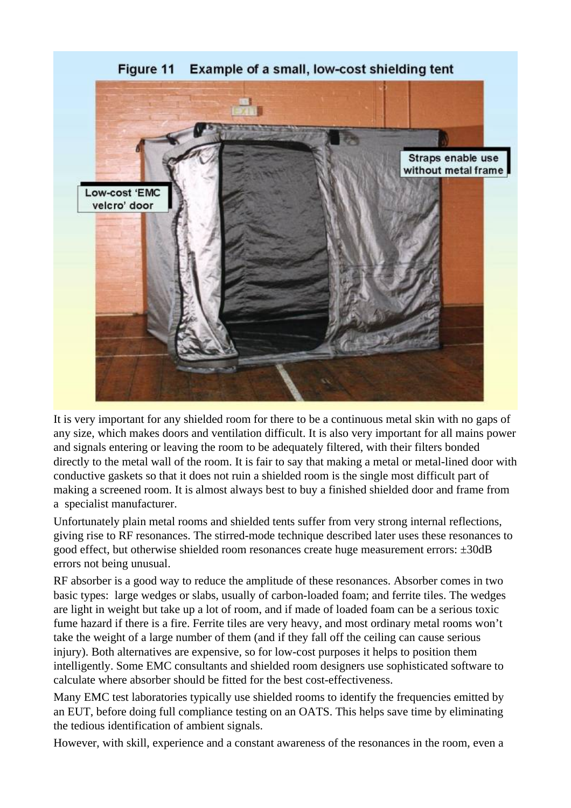

Figure 11 Example of a small, low-cost shielding tent

It is very important for any shielded room for there to be a continuous metal skin with no gaps of any size, which makes doors and ventilation difficult. It is also very important for all mains power and signals entering or leaving the room to be adequately filtered, with their filters bonded directly to the metal wall of the room. It is fair to say that making a metal or metal-lined door with conductive gaskets so that it does not ruin a shielded room is the single most difficult part of making a screened room. It is almost always best to buy a finished shielded door and frame from a specialist manufacturer.

Unfortunately plain metal rooms and shielded tents suffer from very strong internal reflections, giving rise to RF resonances. The stirred-mode technique described later uses these resonances to good effect, but otherwise shielded room resonances create huge measurement errors: ±30dB errors not being unusual.

RF absorber is a good way to reduce the amplitude of these resonances. Absorber comes in two basic types: large wedges or slabs, usually of carbon-loaded foam; and ferrite tiles. The wedges are light in weight but take up a lot of room, and if made of loaded foam can be a serious toxic fume hazard if there is a fire. Ferrite tiles are very heavy, and most ordinary metal rooms won't take the weight of a large number of them (and if they fall off the ceiling can cause serious injury). Both alternatives are expensive, so for low-cost purposes it helps to position them intelligently. Some EMC consultants and shielded room designers use sophisticated software to calculate where absorber should be fitted for the best cost-effectiveness.

Many EMC test laboratories typically use shielded rooms to identify the frequencies emitted by an EUT, before doing full compliance testing on an OATS. This helps save time by eliminating the tedious identification of ambient signals.

However, with skill, experience and a constant awareness of the resonances in the room, even a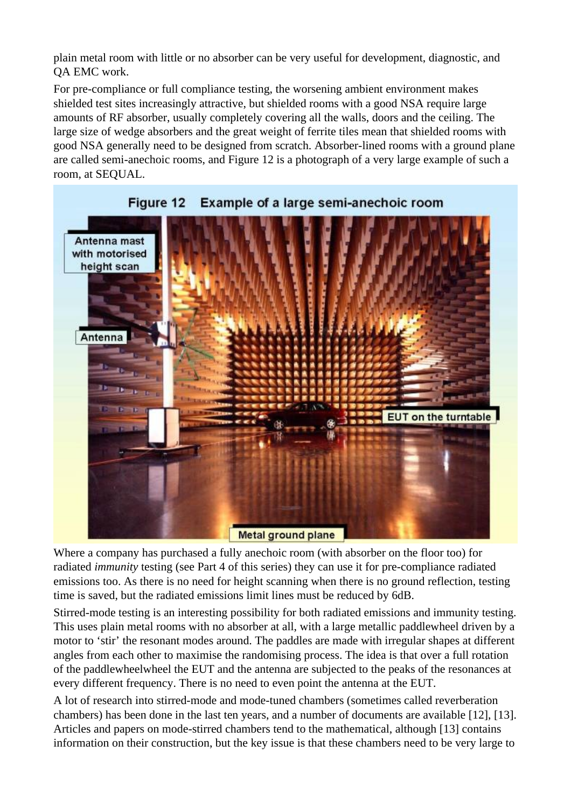plain metal room with little or no absorber can be very useful for development, diagnostic, and QA EMC work.

For pre-compliance or full compliance testing, the worsening ambient environment makes shielded test sites increasingly attractive, but shielded rooms with a good NSA require large amounts of RF absorber, usually completely covering all the walls, doors and the ceiling. The large size of wedge absorbers and the great weight of ferrite tiles mean that shielded rooms with good NSA generally need to be designed from scratch. Absorber-lined rooms with a ground plane are called semi-anechoic rooms, and Figure 12 is a photograph of a very large example of such a room, at SEQUAL.





Where a company has purchased a fully anechoic room (with absorber on the floor too) for radiated *immunity* testing (see Part 4 of this series) they can use it for pre-compliance radiated emissions too. As there is no need for height scanning when there is no ground reflection, testing time is saved, but the radiated emissions limit lines must be reduced by 6dB.

Stirred-mode testing is an interesting possibility for both radiated emissions and immunity testing. This uses plain metal rooms with no absorber at all, with a large metallic paddlewheel driven by a motor to 'stir' the resonant modes around. The paddles are made with irregular shapes at different angles from each other to maximise the randomising process. The idea is that over a full rotation of the paddlewheelwheel the EUT and the antenna are subjected to the peaks of the resonances at every different frequency. There is no need to even point the antenna at the EUT.

A lot of research into stirred-mode and mode-tuned chambers (sometimes called reverberation chambers) has been done in the last ten years, and a number of documents are available [12], [13]. Articles and papers on mode-stirred chambers tend to the mathematical, although [13] contains information on their construction, but the key issue is that these chambers need to be very large to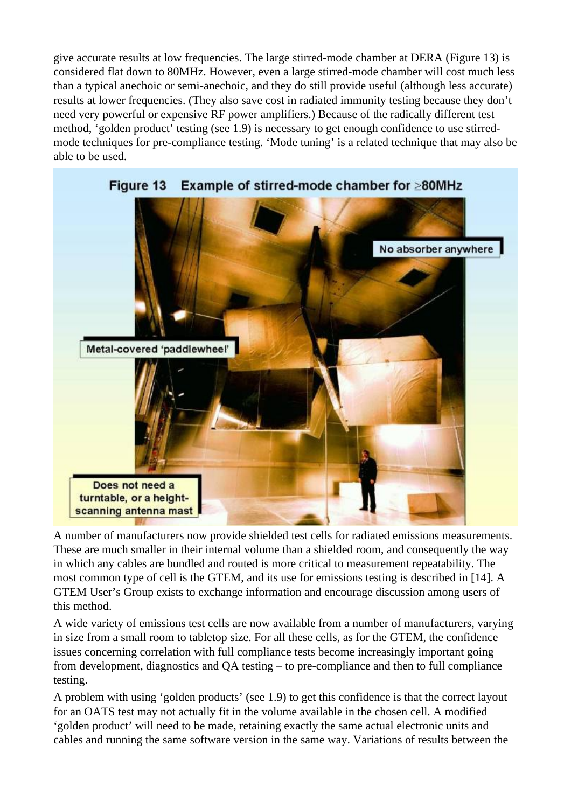give accurate results at low frequencies. The large stirred-mode chamber at DERA (Figure 13) is considered flat down to 80MHz. However, even a large stirred-mode chamber will cost much less than a typical anechoic or semi-anechoic, and they do still provide useful (although less accurate) results at lower frequencies. (They also save cost in radiated immunity testing because they don't need very powerful or expensive RF power amplifiers.) Because of the radically different test method, 'golden product' testing (see 1.9) is necessary to get enough confidence to use stirredmode techniques for pre-compliance testing. 'Mode tuning' is a related technique that may also be able to be used.



A number of manufacturers now provide shielded test cells for radiated emissions measurements. These are much smaller in their internal volume than a shielded room, and consequently the way in which any cables are bundled and routed is more critical to measurement repeatability. The most common type of cell is the GTEM, and its use for emissions testing is described in [14]. A GTEM User's Group exists to exchange information and encourage discussion among users of this method.

A wide variety of emissions test cells are now available from a number of manufacturers, varying in size from a small room to tabletop size. For all these cells, as for the GTEM, the confidence issues concerning correlation with full compliance tests become increasingly important going from development, diagnostics and QA testing – to pre-compliance and then to full compliance testing.

A problem with using 'golden products' (see 1.9) to get this confidence is that the correct layout for an OATS test may not actually fit in the volume available in the chosen cell. A modified 'golden product' will need to be made, retaining exactly the same actual electronic units and cables and running the same software version in the same way. Variations of results between the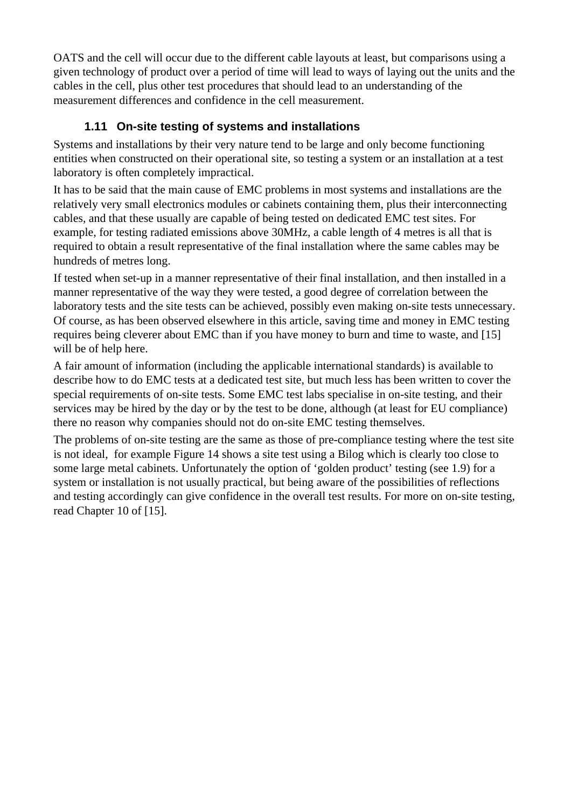OATS and the cell will occur due to the different cable layouts at least, but comparisons using a given technology of product over a period of time will lead to ways of laying out the units and the cables in the cell, plus other test procedures that should lead to an understanding of the measurement differences and confidence in the cell measurement.

## **1.11 On-site testing of systems and installations**

Systems and installations by their very nature tend to be large and only become functioning entities when constructed on their operational site, so testing a system or an installation at a test laboratory is often completely impractical.

It has to be said that the main cause of EMC problems in most systems and installations are the relatively very small electronics modules or cabinets containing them, plus their interconnecting cables, and that these usually are capable of being tested on dedicated EMC test sites. For example, for testing radiated emissions above 30MHz, a cable length of 4 metres is all that is required to obtain a result representative of the final installation where the same cables may be hundreds of metres long.

If tested when set-up in a manner representative of their final installation, and then installed in a manner representative of the way they were tested, a good degree of correlation between the laboratory tests and the site tests can be achieved, possibly even making on-site tests unnecessary. Of course, as has been observed elsewhere in this article, saving time and money in EMC testing requires being cleverer about EMC than if you have money to burn and time to waste, and [15] will be of help here.

A fair amount of information (including the applicable international standards) is available to describe how to do EMC tests at a dedicated test site, but much less has been written to cover the special requirements of on-site tests. Some EMC test labs specialise in on-site testing, and their services may be hired by the day or by the test to be done, although (at least for EU compliance) there no reason why companies should not do on-site EMC testing themselves.

The problems of on-site testing are the same as those of pre-compliance testing where the test site is not ideal, for example Figure 14 shows a site test using a Bilog which is clearly too close to some large metal cabinets. Unfortunately the option of 'golden product' testing (see 1.9) for a system or installation is not usually practical, but being aware of the possibilities of reflections and testing accordingly can give confidence in the overall test results. For more on on-site testing, read Chapter 10 of [15].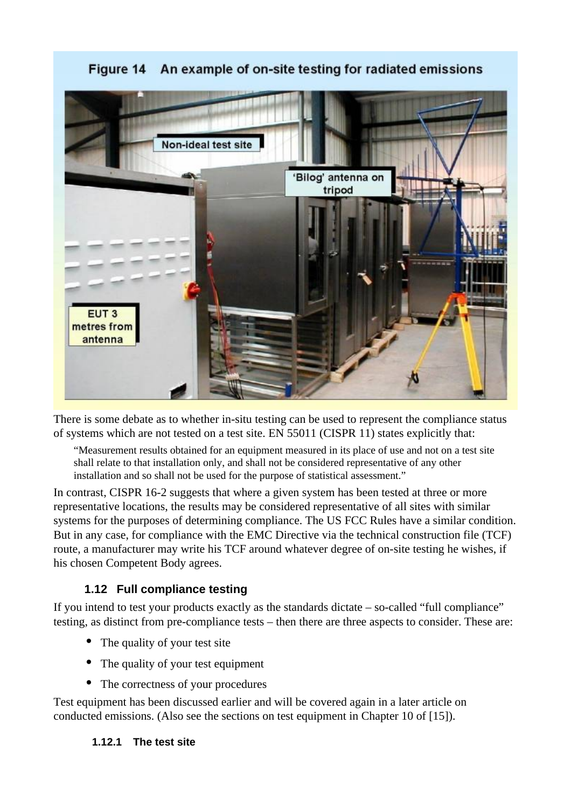#### An example of on-site testing for radiated emissions Figure 14



There is some debate as to whether in-situ testing can be used to represent the compliance status of systems which are not tested on a test site. EN 55011 (CISPR 11) states explicitly that:

"Measurement results obtained for an equipment measured in its place of use and not on a test site shall relate to that installation only, and shall not be considered representative of any other installation and so shall not be used for the purpose of statistical assessment."

In contrast, CISPR 16-2 suggests that where a given system has been tested at three or more representative locations, the results may be considered representative of all sites with similar systems for the purposes of determining compliance. The US FCC Rules have a similar condition. But in any case, for compliance with the EMC Directive via the technical construction file (TCF) route, a manufacturer may write his TCF around whatever degree of on-site testing he wishes, if his chosen Competent Body agrees.

#### **1.12 Full compliance testing**

If you intend to test your products exactly as the standards dictate – so-called "full compliance" testing, as distinct from pre-compliance tests – then there are three aspects to consider. These are:

- The quality of your test site
- The quality of your test equipment
- The correctness of your procedures

Test equipment has been discussed earlier and will be covered again in a later article on conducted emissions. (Also see the sections on test equipment in Chapter 10 of [15]).

#### **1.12.1 The test site**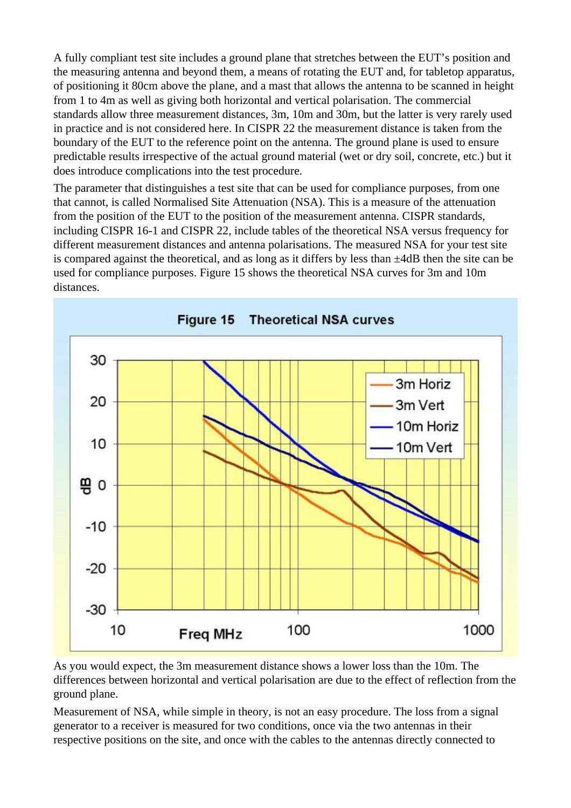A fully compliant test site includes a ground plane that stretches between the EUT's position and the measuring antenna and beyond them, a means of rotating the EUT and, for tabletop apparatus, of positioning it 80cm above the plane, and a mast that allows the antenna to be scanned in height from 1 to 4m as well as giving both horizontal and vertical polarisation. The commercial standards allow three measurement distances, 3m, 10m and 30m, but the latter is very rarely used in practice and is not considered here. In CISPR 22 the measurement distance is taken from the boundary of the EUT to the reference point on the antenna. The ground plane is used to ensure predictable results irrespective of the actual ground material (wet or dry soil, concrete, etc.) but it does introduce complications into the test procedure.

The parameter that distinguishes a test site that can be used for compliance purposes, from one that cannot, is called Normalised Site Attenuation (NSA). This is a measure of the attenuation from the position of the EUT to the position of the measurement antenna. CISPR standards, including CISPR 16-1 and CISPR 22, include tables of the theoretical NSA versus frequency for different measurement distances and antenna polarisations. The measured NSA for your test site is compared against the theoretical, and as long as it differs by less than ±4dB then the site can be used for compliance purposes. Figure 15 shows the theoretical NSA curves for 3m and 10m distances.



As you would expect, the 3m measurement distance shows a lower loss than the 10m. The differences between horizontal and vertical polarisation are due to the effect of reflection from the ground plane.

Measurement of NSA, while simple in theory, is not an easy procedure. The loss from a signal generator to a receiver is measured for two conditions, once via the two antennas in their respective positions on the site, and once with the cables to the antennas directly connected to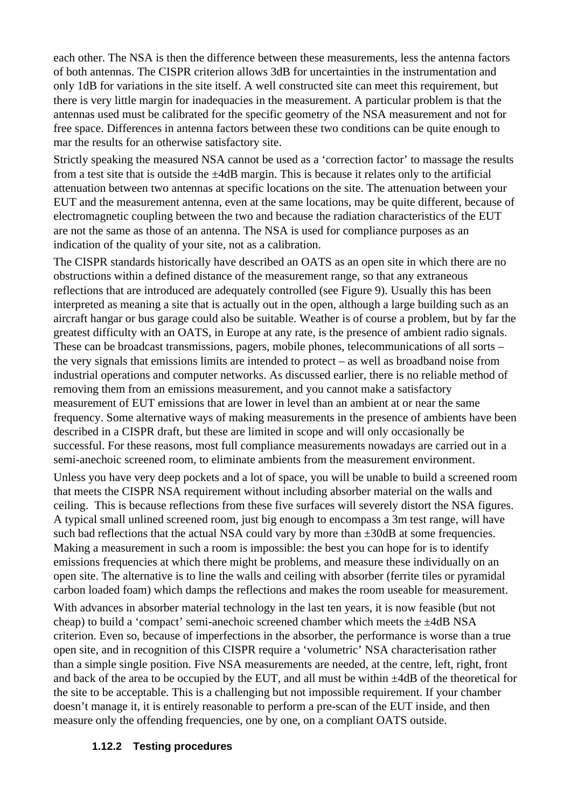each other. The NSA is then the difference between these measurements, less the antenna factors of both antennas. The CISPR criterion allows 3dB for uncertainties in the instrumentation and only 1dB for variations in the site itself. A well constructed site can meet this requirement, but there is very little margin for inadequacies in the measurement. A particular problem is that the antennas used must be calibrated for the specific geometry of the NSA measurement and not for free space. Differences in antenna factors between these two conditions can be quite enough to mar the results for an otherwise satisfactory site.

Strictly speaking the measured NSA cannot be used as a 'correction factor' to massage the results from a test site that is outside the  $\pm 4$ dB margin. This is because it relates only to the artificial attenuation between two antennas at specific locations on the site. The attenuation between your EUT and the measurement antenna, even at the same locations, may be quite different, because of electromagnetic coupling between the two and because the radiation characteristics of the EUT are not the same as those of an antenna. The NSA is used for compliance purposes as an indication of the quality of your site, not as a calibration.

The CISPR standards historically have described an OATS as an open site in which there are no obstructions within a defined distance of the measurement range, so that any extraneous reflections that are introduced are adequately controlled (see Figure 9). Usually this has been interpreted as meaning a site that is actually out in the open, although a large building such as an aircraft hangar or bus garage could also be suitable. Weather is of course a problem, but by far the greatest difficulty with an OATS, in Europe at any rate, is the presence of ambient radio signals. These can be broadcast transmissions, pagers, mobile phones, telecommunications of all sorts – the very signals that emissions limits are intended to protect – as well as broadband noise from industrial operations and computer networks. As discussed earlier, there is no reliable method of removing them from an emissions measurement, and you cannot make a satisfactory measurement of EUT emissions that are lower in level than an ambient at or near the same frequency. Some alternative ways of making measurements in the presence of ambients have been described in a CISPR draft, but these are limited in scope and will only occasionally be successful. For these reasons, most full compliance measurements nowadays are carried out in a semi-anechoic screened room, to eliminate ambients from the measurement environment.

Unless you have very deep pockets and a lot of space, you will be unable to build a screened room that meets the CISPR NSA requirement without including absorber material on the walls and ceiling. This is because reflections from these five surfaces will severely distort the NSA figures. A typical small unlined screened room, just big enough to encompass a 3m test range, will have such bad reflections that the actual NSA could vary by more than  $\pm 30$  dB at some frequencies. Making a measurement in such a room is impossible: the best you can hope for is to identify emissions frequencies at which there might be problems, and measure these individually on an open site. The alternative is to line the walls and ceiling with absorber (ferrite tiles or pyramidal carbon loaded foam) which damps the reflections and makes the room useable for measurement.

With advances in absorber material technology in the last ten years, it is now feasible (but not cheap) to build a 'compact' semi-anechoic screened chamber which meets the  $\pm 4$ dB NSA criterion. Even so, because of imperfections in the absorber, the performance is worse than a true open site, and in recognition of this CISPR require a 'volumetric' NSA characterisation rather than a simple single position. Five NSA measurements are needed, at the centre, left, right, front and back of the area to be occupied by the EUT, and all must be within ±4dB of the theoretical for the site to be acceptable. This is a challenging but not impossible requirement. If your chamber doesn't manage it, it is entirely reasonable to perform a pre-scan of the EUT inside, and then measure only the offending frequencies, one by one, on a compliant OATS outside.

#### **1.12.2 Testing procedures**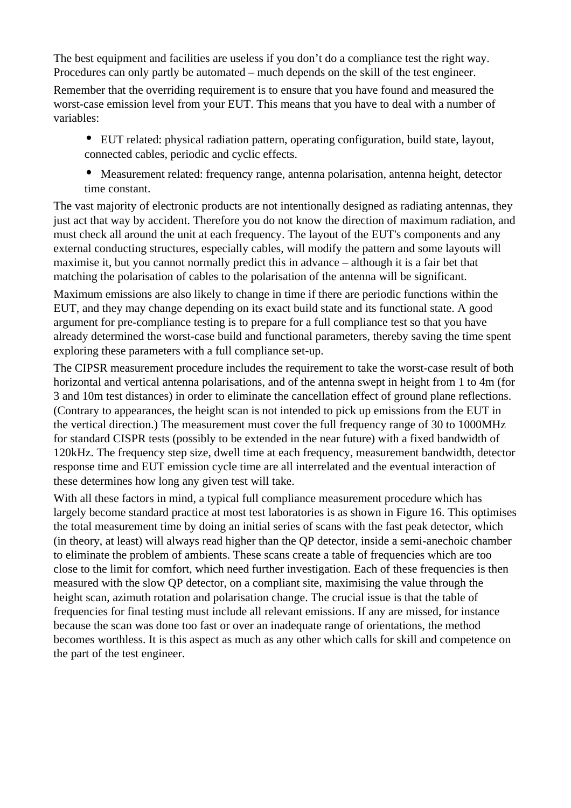The best equipment and facilities are useless if you don't do a compliance test the right way. Procedures can only partly be automated – much depends on the skill of the test engineer.

Remember that the overriding requirement is to ensure that you have found and measured the worst-case emission level from your EUT. This means that you have to deal with a number of variables:

• EUT related: physical radiation pattern, operating configuration, build state, layout, connected cables, periodic and cyclic effects.

• Measurement related: frequency range, antenna polarisation, antenna height, detector time constant.

The vast majority of electronic products are not intentionally designed as radiating antennas, they just act that way by accident. Therefore you do not know the direction of maximum radiation, and must check all around the unit at each frequency. The layout of the EUT's components and any external conducting structures, especially cables, will modify the pattern and some layouts will maximise it, but you cannot normally predict this in advance – although it is a fair bet that matching the polarisation of cables to the polarisation of the antenna will be significant.

Maximum emissions are also likely to change in time if there are periodic functions within the EUT, and they may change depending on its exact build state and its functional state. A good argument for pre-compliance testing is to prepare for a full compliance test so that you have already determined the worst-case build and functional parameters, thereby saving the time spent exploring these parameters with a full compliance set-up.

The CIPSR measurement procedure includes the requirement to take the worst-case result of both horizontal and vertical antenna polarisations, and of the antenna swept in height from 1 to 4m (for 3 and 10m test distances) in order to eliminate the cancellation effect of ground plane reflections. (Contrary to appearances, the height scan is not intended to pick up emissions from the EUT in the vertical direction.) The measurement must cover the full frequency range of 30 to 1000MHz for standard CISPR tests (possibly to be extended in the near future) with a fixed bandwidth of 120kHz. The frequency step size, dwell time at each frequency, measurement bandwidth, detector response time and EUT emission cycle time are all interrelated and the eventual interaction of these determines how long any given test will take.

With all these factors in mind, a typical full compliance measurement procedure which has largely become standard practice at most test laboratories is as shown in Figure 16. This optimises the total measurement time by doing an initial series of scans with the fast peak detector, which (in theory, at least) will always read higher than the QP detector, inside a semi-anechoic chamber to eliminate the problem of ambients. These scans create a table of frequencies which are too close to the limit for comfort, which need further investigation. Each of these frequencies is then measured with the slow QP detector, on a compliant site, maximising the value through the height scan, azimuth rotation and polarisation change. The crucial issue is that the table of frequencies for final testing must include all relevant emissions. If any are missed, for instance because the scan was done too fast or over an inadequate range of orientations, the method becomes worthless. It is this aspect as much as any other which calls for skill and competence on the part of the test engineer.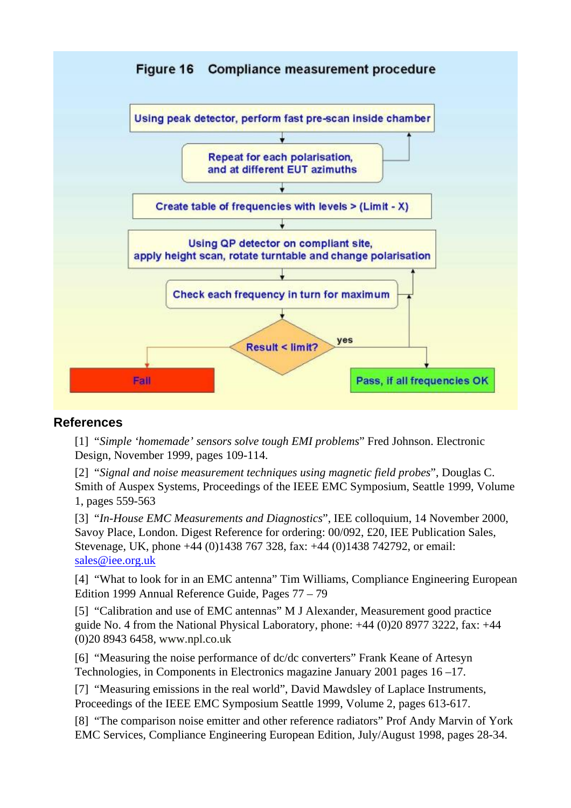

#### **References**

[1] "*Simple 'homemade' sensors solve tough EMI problems*" Fred Johnson. Electronic Design, November 1999, pages 109-114.

[2] "*Signal and noise measurement techniques using magnetic field probes*", Douglas C. Smith of Auspex Systems, Proceedings of the IEEE EMC Symposium, Seattle 1999, Volume 1, pages 559-563

[3] "*In-House EMC Measurements and Diagnostics*", IEE colloquium, 14 November 2000, Savoy Place, London. Digest Reference for ordering: 00/092, £20, IEE Publication Sales, Stevenage, UK, phone +44 (0)1438 767 328, fax: +44 (0)1438 742792, or email: [sales@iee.org.uk](mailto:sales@iee.org.uk)

[4] "What to look for in an EMC antenna" Tim Williams, Compliance Engineering European Edition 1999 Annual Reference Guide, Pages 77 – 79

[5] "Calibration and use of EMC antennas" M J Alexander, Measurement good practice guide No. 4 from the National Physical Laboratory, phone: +44 (0)20 8977 3222, fax: +44 (0)20 8943 6458, [www.npl.co.uk](http://www.npl.co.uk/)

[6] "Measuring the noise performance of dc/dc converters" Frank Keane of Artesyn Technologies, in Components in Electronics magazine January 2001 pages 16 –17.

[7] "Measuring emissions in the real world", David Mawdsley of Laplace Instruments, Proceedings of the IEEE EMC Symposium Seattle 1999, Volume 2, pages 613-617.

[8] "The comparison noise emitter and other reference radiators" Prof Andy Marvin of York EMC Services, Compliance Engineering European Edition, July/August 1998, pages 28-34.